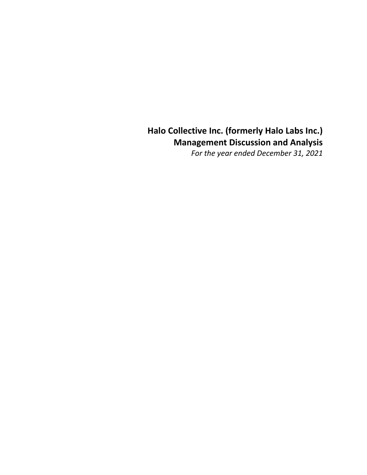# **Halo Collective Inc. (formerly Halo Labs Inc.) Management Discussion and Analysis**

*For the year ended December 31, 2021*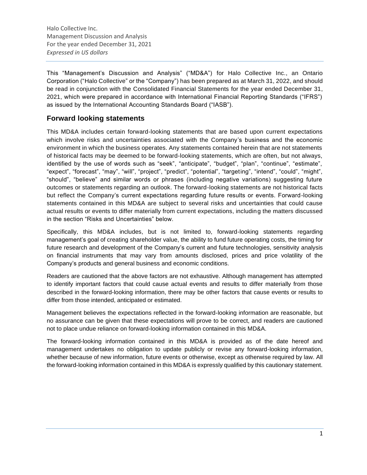This "Management's Discussion and Analysis" ("MD&A") for Halo Collective Inc., an Ontario Corporation ("Halo Collective" or the "Company") has been prepared as at March 31, 2022, and should be read in conjunction with the Consolidated Financial Statements for the year ended December 31, 2021, which were prepared in accordance with International Financial Reporting Standards ("IFRS") as issued by the International Accounting Standards Board ("IASB").

### **Forward looking statements**

This MD&A includes certain forward-looking statements that are based upon current expectations which involve risks and uncertainties associated with the Company's business and the economic environment in which the business operates. Any statements contained herein that are not statements of historical facts may be deemed to be forward-looking statements, which are often, but not always, identified by the use of words such as "seek", "anticipate", "budget", "plan", "continue", "estimate", "expect", "forecast", "may", "will", "project", "predict", "potential", "targeting", "intend", "could", "might", "should", "believe" and similar words or phrases (including negative variations) suggesting future outcomes or statements regarding an outlook. The forward-looking statements are not historical facts but reflect the Company's current expectations regarding future results or events. Forward-looking statements contained in this MD&A are subject to several risks and uncertainties that could cause actual results or events to differ materially from current expectations, including the matters discussed in the section "Risks and Uncertainties" below.

Specifically, this MD&A includes, but is not limited to, forward-looking statements regarding management's goal of creating shareholder value, the ability to fund future operating costs, the timing for future research and development of the Company's current and future technologies, sensitivity analysis on financial instruments that may vary from amounts disclosed, prices and price volatility of the Company's products and general business and economic conditions.

Readers are cautioned that the above factors are not exhaustive. Although management has attempted to identify important factors that could cause actual events and results to differ materially from those described in the forward-looking information, there may be other factors that cause events or results to differ from those intended, anticipated or estimated.

Management believes the expectations reflected in the forward-looking information are reasonable, but no assurance can be given that these expectations will prove to be correct, and readers are cautioned not to place undue reliance on forward-looking information contained in this MD&A.

The forward-looking information contained in this MD&A is provided as of the date hereof and management undertakes no obligation to update publicly or revise any forward-looking information, whether because of new information, future events or otherwise, except as otherwise required by law. All the forward-looking information contained in this MD&A is expressly qualified by this cautionary statement.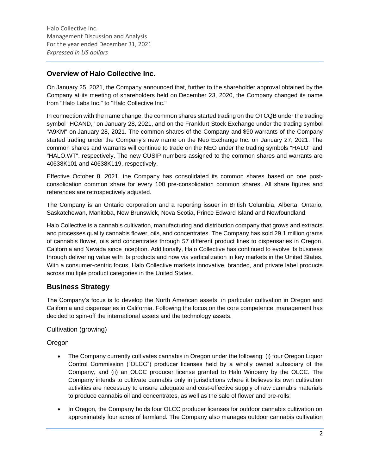### **Overview of Halo Collective Inc.**

On January 25, 2021, the Company announced that, further to the shareholder approval obtained by the Company at its meeting of shareholders held on December 23, 2020, the Company changed its name from "Halo Labs Inc." to "Halo Collective Inc."

In connection with the name change, the common shares started trading on the OTCQB under the trading symbol "HCAND," on January 28, 2021, and on the Frankfurt Stock Exchange under the trading symbol "A9KM" on January 28, 2021. The common shares of the Company and \$90 warrants of the Company started trading under the Company's new name on the Neo Exchange Inc. on January 27, 2021. The common shares and warrants will continue to trade on the NEO under the trading symbols "HALO" and "HALO.WT", respectively. The new CUSIP numbers assigned to the common shares and warrants are 40638K101 and 40638K119, respectively.

Effective October 8, 2021, the Company has consolidated its common shares based on one postconsolidation common share for every 100 pre-consolidation common shares. All share figures and references are retrospectively adjusted.

The Company is an Ontario corporation and a reporting issuer in British Columbia, Alberta, Ontario, Saskatchewan, Manitoba, New Brunswick, Nova Scotia, Prince Edward Island and Newfoundland.

Halo Collective is a cannabis cultivation, manufacturing and distribution company that grows and extracts and processes quality cannabis flower, oils, and concentrates. The Company has sold 29.1 million grams of cannabis flower, oils and concentrates through 57 different product lines to dispensaries in Oregon, California and Nevada since inception. Additionally, Halo Collective has continued to evolve its business through delivering value with its products and now via verticalization in key markets in the United States. With a consumer-centric focus, Halo Collective markets innovative, branded, and private label products across multiple product categories in the United States.

### **Business Strategy**

The Company's focus is to develop the North American assets, in particular cultivation in Oregon and California and dispensaries in California. Following the focus on the core competence, management has decided to spin-off the international assets and the technology assets.

Cultivation (growing)

### Oregon

- The Company currently cultivates cannabis in Oregon under the following: (i) four Oregon Liquor Control Commission ("OLCC") producer licenses held by a wholly owned subsidiary of the Company, and (ii) an OLCC producer license granted to Halo Winberry by the OLCC. The Company intends to cultivate cannabis only in jurisdictions where it believes its own cultivation activities are necessary to ensure adequate and cost-effective supply of raw cannabis materials to produce cannabis oil and concentrates, as well as the sale of flower and pre-rolls;
- In Oregon, the Company holds four OLCC producer licenses for outdoor cannabis cultivation on approximately four acres of farmland. The Company also manages outdoor cannabis cultivation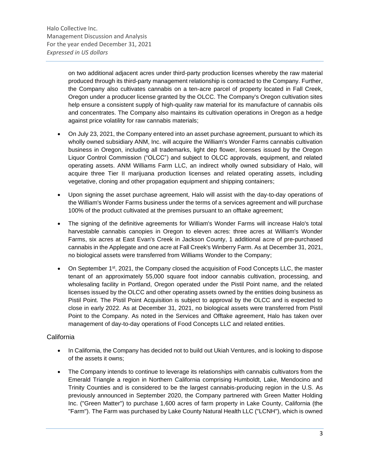on two additional adjacent acres under third-party production licenses whereby the raw material produced through its third-party management relationship is contracted to the Company. Further, the Company also cultivates cannabis on a ten-acre parcel of property located in Fall Creek, Oregon under a producer license granted by the OLCC. The Company's Oregon cultivation sites help ensure a consistent supply of high-quality raw material for its manufacture of cannabis oils and concentrates. The Company also maintains its cultivation operations in Oregon as a hedge against price volatility for raw cannabis materials;

- On July 23, 2021, the Company entered into an asset purchase agreement, pursuant to which its wholly owned subsidiary ANM, Inc. will acquire the William's Wonder Farms cannabis cultivation business in Oregon, including all trademarks, light dep flower, licenses issued by the Oregon Liquor Control Commission ("OLCC") and subject to OLCC approvals, equipment, and related operating assets. ANM Williams Farm LLC, an indirect wholly owned subsidiary of Halo, will acquire three Tier II marijuana production licenses and related operating assets, including vegetative, cloning and other propagation equipment and shipping containers;
- Upon signing the asset purchase agreement, Halo will assist with the day-to-day operations of the William's Wonder Farms business under the terms of a services agreement and will purchase 100% of the product cultivated at the premises pursuant to an offtake agreement;
- The signing of the definitive agreements for William's Wonder Farms will increase Halo's total harvestable cannabis canopies in Oregon to eleven acres: three acres at William's Wonder Farms, six acres at East Evan's Creek in Jackson County, 1 additional acre of pre-purchased cannabis in the Applegate and one acre at Fall Creek's Winberry Farm. As at December 31, 2021, no biological assets were transferred from Williams Wonder to the Company;
- On September 1<sup>st</sup>, 2021, the Company closed the acquisition of Food Concepts LLC, the master tenant of an approximately 55,000 square foot indoor cannabis cultivation, processing, and wholesaling facility in Portland, Oregon operated under the Pistil Point name, and the related licenses issued by the OLCC and other operating assets owned by the entities doing business as Pistil Point. The Pistil Point Acquisition is subject to approval by the OLCC and is expected to close in early 2022. As at December 31, 2021, no biological assets were transferred from Pistil Point to the Company. As noted in the Services and Offtake agreement, Halo has taken over management of day-to-day operations of Food Concepts LLC and related entities.

### **California**

- In California, the Company has decided not to build out Ukiah Ventures, and is looking to dispose of the assets it owns;
- The Company intends to continue to leverage its relationships with cannabis cultivators from the Emerald Triangle a region in Northern California comprising Humboldt, Lake, Mendocino and Trinity Counties and is considered to be the largest cannabis-producing region in the U.S. As previously announced in September 2020, the Company partnered with Green Matter Holding Inc. ("Green Matter") to purchase 1,600 acres of farm property in Lake County, California (the "Farm"). The Farm was purchased by Lake County Natural Health LLC ("LCNH"), which is owned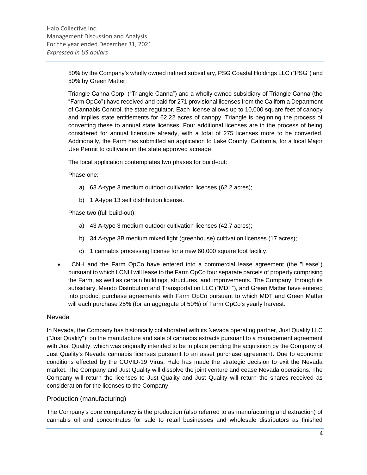50% by the Company's wholly owned indirect subsidiary, PSG Coastal Holdings LLC ("PSG") and 50% by Green Matter;

Triangle Canna Corp. ("Triangle Canna") and a wholly owned subsidiary of Triangle Canna (the "Farm OpCo") have received and paid for 271 provisional licenses from the California Department of Cannabis Control, the state regulator. Each license allows up to 10,000 square feet of canopy and implies state entitlements for 62.22 acres of canopy. Triangle is beginning the process of converting these to annual state licenses. Four additional licenses are in the process of being considered for annual licensure already, with a total of 275 licenses more to be converted. Additionally, the Farm has submitted an application to Lake County, California, for a local Major Use Permit to cultivate on the state approved acreage.

The local application contemplates two phases for build-out:

Phase one:

- a) 63 A-type 3 medium outdoor cultivation licenses (62.2 acres);
- b) 1 A-type 13 self distribution license.

Phase two (full build-out):

- a) 43 A-type 3 medium outdoor cultivation licenses (42.7 acres);
- b) 34 A-type 3B medium mixed light (greenhouse) cultivation licenses (17 acres);
- c) 1 cannabis processing license for a new 60,000 square foot facility.
- LCNH and the Farm OpCo have entered into a commercial lease agreement (the "Lease") pursuant to which LCNH will lease to the Farm OpCo four separate parcels of property comprising the Farm, as well as certain buildings, structures, and improvements. The Company, through its subsidiary, Mendo Distribution and Transportation LLC ("MDT"), and Green Matter have entered into product purchase agreements with Farm OpCo pursuant to which MDT and Green Matter will each purchase 25% (for an aggregate of 50%) of Farm OpCo's yearly harvest.

#### Nevada

In Nevada, the Company has historically collaborated with its Nevada operating partner, Just Quality LLC ("Just Quality"), on the manufacture and sale of cannabis extracts pursuant to a management agreement with Just Quality, which was originally intended to be in place pending the acquisition by the Company of Just Quality's Nevada cannabis licenses pursuant to an asset purchase agreement. Due to economic conditions effected by the COVID-19 Virus, Halo has made the strategic decision to exit the Nevada market. The Company and Just Quality will dissolve the joint venture and cease Nevada operations. The Company will return the licenses to Just Quality and Just Quality will return the shares received as consideration for the licenses to the Company.

### Production (manufacturing)

The Company's core competency is the production (also referred to as manufacturing and extraction) of cannabis oil and concentrates for sale to retail businesses and wholesale distributors as finished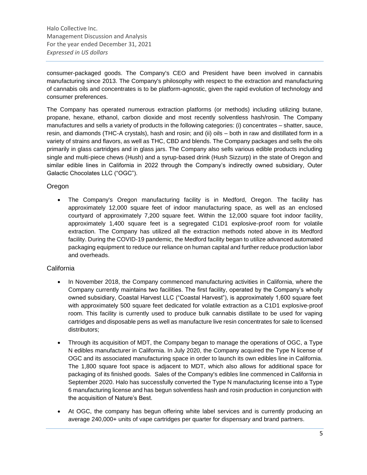consumer-packaged goods. The Company's CEO and President have been involved in cannabis manufacturing since 2013. The Company's philosophy with respect to the extraction and manufacturing of cannabis oils and concentrates is to be platform-agnostic, given the rapid evolution of technology and consumer preferences.

The Company has operated numerous extraction platforms (or methods) including utilizing butane, propane, hexane, ethanol, carbon dioxide and most recently solventless hash/rosin. The Company manufactures and sells a variety of products in the following categories: (i) concentrates – shatter, sauce, resin, and diamonds (THC-A crystals), hash and rosin; and (ii) oils – both in raw and distillated form in a variety of strains and flavors, as well as THC, CBD and blends. The Company packages and sells the oils primarily in glass cartridges and in glass jars. The Company also sells various edible products including single and multi-piece chews (Hush) and a syrup-based drink (Hush Sizzurp) in the state of Oregon and similar edible lines in California in 2022 through the Company's indirectly owned subsidiary, Outer Galactic Chocolates LLC ("OGC").

### Oregon

• The Company's Oregon manufacturing facility is in Medford, Oregon. The facility has approximately 12,000 square feet of indoor manufacturing space, as well as an enclosed courtyard of approximately 7,200 square feet. Within the 12,000 square foot indoor facility, approximately 1,400 square feet is a segregated C1D1 explosive-proof room for volatile extraction. The Company has utilized all the extraction methods noted above in its Medford facility. During the COVID-19 pandemic, the Medford facility began to utilize advanced automated packaging equipment to reduce our reliance on human capital and further reduce production labor and overheads.

### **California**

- In November 2018, the Company commenced manufacturing activities in California, where the Company currently maintains two facilities. The first facility, operated by the Company's wholly owned subsidiary, Coastal Harvest LLC ("Coastal Harvest"), is approximately 1,600 square feet with approximately 500 square feet dedicated for volatile extraction as a C1D1 explosive-proof room. This facility is currently used to produce bulk cannabis distillate to be used for vaping cartridges and disposable pens as well as manufacture live resin concentrates for sale to licensed distributors;
- Through its acquisition of MDT, the Company began to manage the operations of OGC, a Type N edibles manufacturer in California. In July 2020, the Company acquired the Type N license of OGC and its associated manufacturing space in order to launch its own edibles line in California. The 1,800 square foot space is adjacent to MDT, which also allows for additional space for packaging of its finished goods. Sales of the Company's edibles line commenced in California in September 2020. Halo has successfully converted the Type N manufacturing license into a Type 6 manufacturing license and has begun solventless hash and rosin production in conjunction with the acquisition of Nature's Best.
- At OGC, the company has begun offering white label services and is currently producing an average 240,000+ units of vape cartridges per quarter for dispensary and brand partners.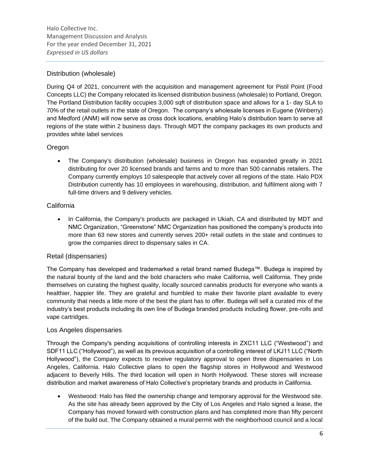### Distribution (wholesale)

During Q4 of 2021, concurrent with the acquisition and management agreement for Pistil Point (Food Concepts LLC) the Company relocated its licensed distribution business (wholesale) to Portland, Oregon. The Portland Distribution facility occupies 3,000 sqft of distribution space and allows for a 1- day SLA to 70% of the retail outlets in the state of Oregon. The company's wholesale licenses in Eugene (Winberry) and Medford (ANM) will now serve as cross dock locations, enabling Halo's distribution team to serve all regions of the state within 2 business days. Through MDT the company packages its own products and provides white label services

### Oregon

• The Company's distribution (wholesale) business in Oregon has expanded greatly in 2021 distributing for over 20 licensed brands and farms and to more than 500 cannabis retailers. The Company currently employs 10 salespeople that actively cover all regions of the state. Halo PDX Distribution currently has 10 employees in warehousing, distribution, and fulfilment along with 7 full-time drivers and 9 delivery vehicles.

### California

• In California, the Company's products are packaged in Ukiah, CA and distributed by MDT and NMC Organization, "Greenstone" NMC Organization has positioned the company's products into more than 63 new stores and currently serves 200+ retail outlets in the state and continues to grow the companies direct to dispensary sales in CA.

### Retail (dispensaries)

The Company has developed and trademarked a retail brand named Budega™. Budega is inspired by the natural bounty of the land and the bold characters who make California, well California. They pride themselves on curating the highest quality, locally sourced cannabis products for everyone who wants a healthier, happier life. They are grateful and humbled to make their favorite plant available to every community that needs a little more of the best the plant has to offer. Budega will sell a curated mix of the industry's best products including its own line of Budega branded products including flower, pre-rolls and vape cartridges.

### Los Angeles dispensaries

Through the Company's pending acquisitions of controlling interests in ZXC11 LLC ("Westwood") and SDF11 LLC ("Hollywood"), as well as its previous acquisition of a controlling interest of LKJ11 LLC ("North Hollywood"), the Company expects to receive regulatory approval to open three dispensaries in Los Angeles, California. Halo Collective plans to open the flagship stores in Hollywood and Westwood adjacent to Beverly Hills. The third location will open in North Hollywood. These stores will increase distribution and market awareness of Halo Collective's proprietary brands and products in California.

• Westwood: Halo has filed the ownership change and temporary approval for the Westwood site. As the site has already been approved by the City of Los Angeles and Halo signed a lease, the Company has moved forward with construction plans and has completed more than fifty percent of the build out. The Company obtained a mural permit with the neighborhood council and a local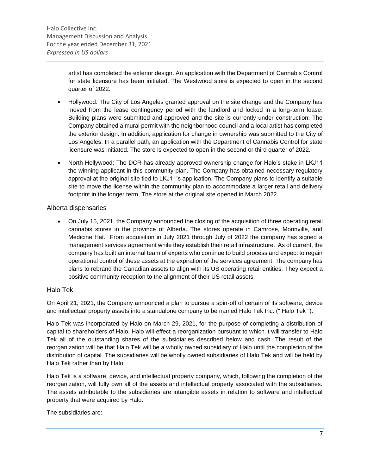artist has completed the exterior design. An application with the Department of Cannabis Control for state licensure has been initiated. The Westwood store is expected to open in the second quarter of 2022.

- Hollywood: The City of Los Angeles granted approval on the site change and the Company has moved from the lease contingency period with the landlord and locked in a long-term lease. Building plans were submitted and approved and the site is currently under construction. The Company obtained a mural permit with the neighborhood council and a local artist has completed the exterior design. In addition, application for change in ownership was submitted to the City of Los Angeles. In a parallel path, an application with the Department of Cannabis Control for state licensure was initiated. The store is expected to open in the second or third quarter of 2022.
- North Hollywood: The DCR has already approved ownership change for Halo's stake in LKJ11 the winning applicant in this community plan. The Company has obtained necessary regulatory approval at the original site tied to LKJ11's application. The Company plans to identify a suitable site to move the license within the community plan to accommodate a larger retail and delivery footprint in the longer term. The store at the original site opened in March 2022.

### Alberta dispensaries

• On July 15, 2021, the Company announced the closing of the acquisition of three operating retail cannabis stores in the province of Alberta. The stores operate in Camrose, Morinville, and Medicine Hat. From acquisition in July 2021 through July of 2022 the company has signed a management services agreement while they establish their retail infrastructure. As of current, the company has built an internal team of experts who continue to build process and expect to regain operational control of these assets at the expiration of the services agreement. The company has plans to rebrand the Canadian assets to align with its US operating retail entities. They expect a positive community reception to the alignment of their US retail assets.

### Halo Tek

On April 21, 2021, the Company announced a plan to pursue a spin-off of certain of its software, device and intellectual property assets into a standalone company to be named Halo Tek Inc. (" Halo Tek ").

Halo Tek was incorporated by Halo on March 29, 2021, for the purpose of completing a distribution of capital to shareholders of Halo. Halo will effect a reorganization pursuant to which it will transfer to Halo Tek all of the outstanding shares of the subsidiaries described below and cash. The result of the reorganization will be that Halo Tek will be a wholly owned subsidiary of Halo until the completion of the distribution of capital. The subsidiaries will be wholly owned subsidiaries of Halo Tek and will be held by Halo Tek rather than by Halo.

Halo Tek is a software, device, and intellectual property company, which, following the completion of the reorganization, will fully own all of the assets and intellectual property associated with the subsidiaries. The assets attributable to the subsidiaries are intangible assets in relation to software and intellectual property that were acquired by Halo.

The subsidiaries are: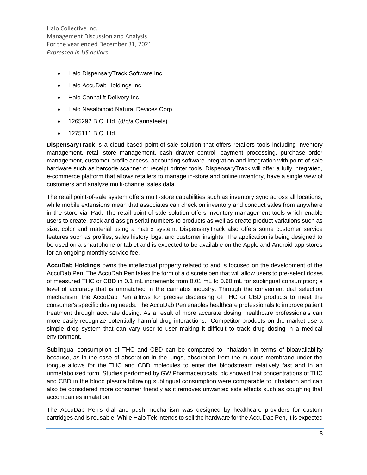- Halo DispensaryTrack Software Inc.
- Halo AccuDab Holdings Inc.
- Halo Cannalift Delivery Inc.
- Halo Nasalbinoid Natural Devices Corp.
- 1265292 B.C. Ltd. (d/b/a Cannafeels)
- 1275111 B.C. Ltd.

**DispensaryTrack** is a cloud-based point-of-sale solution that offers retailers tools including inventory management, retail store management, cash drawer control, payment processing, purchase order management, customer profile access, accounting software integration and integration with point-of-sale hardware such as barcode scanner or receipt printer tools. DispensaryTrack will offer a fully integrated, e-commerce platform that allows retailers to manage in-store and online inventory, have a single view of customers and analyze multi-channel sales data.

The retail point-of-sale system offers multi-store capabilities such as inventory sync across all locations, while mobile extensions mean that associates can check on inventory and conduct sales from anywhere in the store via iPad. The retail point-of-sale solution offers inventory management tools which enable users to create, track and assign serial numbers to products as well as create product variations such as size, color and material using a matrix system. DispensaryTrack also offers some customer service features such as profiles, sales history logs, and customer insights. The application is being designed to be used on a smartphone or tablet and is expected to be available on the Apple and Android app stores for an ongoing monthly service fee.

**AccuDab Holdings** owns the intellectual property related to and is focused on the development of the AccuDab Pen. The AccuDab Pen takes the form of a discrete pen that will allow users to pre-select doses of measured THC or CBD in 0.1 mL increments from 0.01 mL to 0.60 mL for sublingual consumption; a level of accuracy that is unmatched in the cannabis industry. Through the convenient dial selection mechanism, the AccuDab Pen allows for precise dispensing of THC or CBD products to meet the consumer's specific dosing needs. The AccuDab Pen enables healthcare professionals to improve patient treatment through accurate dosing. As a result of more accurate dosing, healthcare professionals can more easily recognize potentially harmful drug interactions. Competitor products on the market use a simple drop system that can vary user to user making it difficult to track drug dosing in a medical environment.

Sublingual consumption of THC and CBD can be compared to inhalation in terms of bioavailability because, as in the case of absorption in the lungs, absorption from the mucous membrane under the tongue allows for the THC and CBD molecules to enter the bloodstream relatively fast and in an unmetabolized form. Studies performed by GW Pharmaceuticals, plc showed that concentrations of THC and CBD in the blood plasma following sublingual consumption were comparable to inhalation and can also be considered more consumer friendly as it removes unwanted side effects such as coughing that accompanies inhalation.

The AccuDab Pen's dial and push mechanism was designed by healthcare providers for custom cartridges and is reusable. While Halo Tek intends to sell the hardware for the AccuDab Pen, it is expected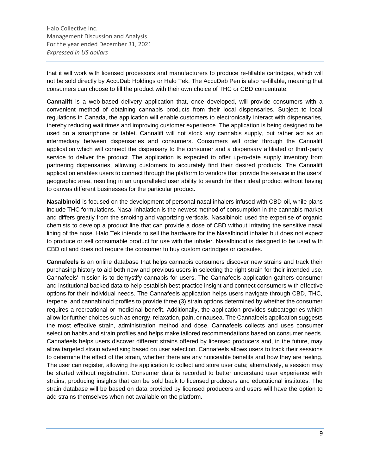that it will work with licensed processors and manufacturers to produce re-fillable cartridges, which will not be sold directly by AccuDab Holdings or Halo Tek. The AccuDab Pen is also re-fillable, meaning that consumers can choose to fill the product with their own choice of THC or CBD concentrate.

**Cannalift** is a web-based delivery application that, once developed, will provide consumers with a convenient method of obtaining cannabis products from their local dispensaries. Subject to local regulations in Canada, the application will enable customers to electronically interact with dispensaries, thereby reducing wait times and improving customer experience. The application is being designed to be used on a smartphone or tablet. Cannalift will not stock any cannabis supply, but rather act as an intermediary between dispensaries and consumers. Consumers will order through the Cannalift application which will connect the dispensary to the consumer and a dispensary affiliated or third-party service to deliver the product. The application is expected to offer up-to-date supply inventory from partnering dispensaries, allowing customers to accurately find their desired products. The Cannalift application enables users to connect through the platform to vendors that provide the service in the users' geographic area, resulting in an unparalleled user ability to search for their ideal product without having to canvas different businesses for the particular product.

**Nasalbinoid** is focused on the development of personal nasal inhalers infused with CBD oil, while plans include THC formulations. Nasal inhalation is the newest method of consumption in the cannabis market and differs greatly from the smoking and vaporizing verticals. Nasalbinoid used the expertise of organic chemists to develop a product line that can provide a dose of CBD without irritating the sensitive nasal lining of the nose. Halo Tek intends to sell the hardware for the Nasalbinoid inhaler but does not expect to produce or sell consumable product for use with the inhaler. Nasalbinoid is designed to be used with CBD oil and does not require the consumer to buy custom cartridges or capsules.

**Cannafeels** is an online database that helps cannabis consumers discover new strains and track their purchasing history to aid both new and previous users in selecting the right strain for their intended use. Cannafeels' mission is to demystify cannabis for users. The Cannafeels application gathers consumer and institutional backed data to help establish best practice insight and connect consumers with effective options for their individual needs. The Cannafeels application helps users navigate through CBD, THC, terpene, and cannabinoid profiles to provide three (3) strain options determined by whether the consumer requires a recreational or medicinal benefit. Additionally, the application provides subcategories which allow for further choices such as energy, relaxation, pain, or nausea. The Cannafeels application suggests the most effective strain, administration method and dose. Cannafeels collects and uses consumer selection habits and strain profiles and helps make tailored recommendations based on consumer needs. Cannafeels helps users discover different strains offered by licensed producers and, in the future, may allow targeted strain advertising based on user selection. Cannafeels allows users to track their sessions to determine the effect of the strain, whether there are any noticeable benefits and how they are feeling. The user can register, allowing the application to collect and store user data; alternatively, a session may be started without registration. Consumer data is recorded to better understand user experience with strains, producing insights that can be sold back to licensed producers and educational institutes. The strain database will be based on data provided by licensed producers and users will have the option to add strains themselves when not available on the platform.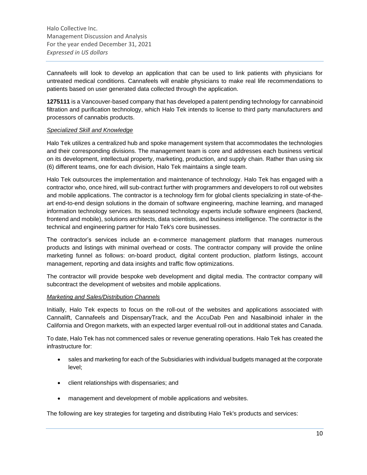Cannafeels will look to develop an application that can be used to link patients with physicians for untreated medical conditions. Cannafeels will enable physicians to make real life recommendations to patients based on user generated data collected through the application.

**1275111** is a Vancouver-based company that has developed a patent pending technology for cannabinoid filtration and purification technology, which Halo Tek intends to license to third party manufacturers and processors of cannabis products.

### *Specialized Skill and Knowledge*

Halo Tek utilizes a centralized hub and spoke management system that accommodates the technologies and their corresponding divisions. The management team is core and addresses each business vertical on its development, intellectual property, marketing, production, and supply chain. Rather than using six (6) different teams, one for each division, Halo Tek maintains a single team.

Halo Tek outsources the implementation and maintenance of technology. Halo Tek has engaged with a contractor who, once hired, will sub-contract further with programmers and developers to roll out websites and mobile applications. The contractor is a technology firm for global clients specializing in state-of-theart end-to-end design solutions in the domain of software engineering, machine learning, and managed information technology services. Its seasoned technology experts include software engineers (backend, frontend and mobile), solutions architects, data scientists, and business intelligence. The contractor is the technical and engineering partner for Halo Tek's core businesses.

The contractor's services include an e-commerce management platform that manages numerous products and listings with minimal overhead or costs. The contractor company will provide the online marketing funnel as follows: on-board product, digital content production, platform listings, account management, reporting and data insights and traffic flow optimizations.

The contractor will provide bespoke web development and digital media. The contractor company will subcontract the development of websites and mobile applications.

#### *Marketing and Sales/Distribution Channels*

Initially, Halo Tek expects to focus on the roll-out of the websites and applications associated with Cannalift, Cannafeels and DispensaryTrack, and the AccuDab Pen and Nasalbinoid inhaler in the California and Oregon markets, with an expected larger eventual roll-out in additional states and Canada.

To date, Halo Tek has not commenced sales or revenue generating operations. Halo Tek has created the infrastructure for:

- sales and marketing for each of the Subsidiaries with individual budgets managed at the corporate level;
- client relationships with dispensaries; and
- management and development of mobile applications and websites.

The following are key strategies for targeting and distributing Halo Tek's products and services: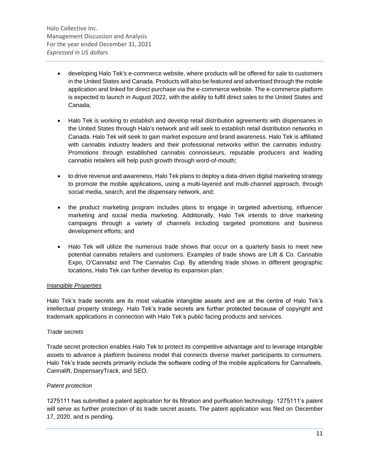- developing Halo Tek's e-commerce website, where products will be offered for sale to customers in the United States and Canada. Products will also be featured and advertised through the mobile application and linked for direct purchase via the e-commerce website. The e-commerce platform is expected to launch in August 2022, with the ability to fulfil direct sales to the United States and Canada;
- Halo Tek is working to establish and develop retail distribution agreements with dispensaries in the United States through Halo's network and will seek to establish retail distribution networks in Canada. Halo Tek will seek to gain market exposure and brand awareness. Halo Tek is affiliated with cannabis industry leaders and their professional networks within the cannabis industry. Promotions through established cannabis connoisseurs, reputable producers and leading cannabis retailers will help push growth through word-of-mouth;
- to drive revenue and awareness, Halo Tek plans to deploy a data-driven digital marketing strategy to promote the mobile applications, using a multi-layered and multi-channel approach, through social media, search, and the dispensary network, and;
- the product marketing program includes plans to engage in targeted advertising, influencer marketing and social media marketing. Additionally, Halo Tek intends to drive marketing campaigns through a variety of channels including targeted promotions and business development efforts; and
- Halo Tek will utilize the numerous trade shows that occur on a quarterly basis to meet new potential cannabis retailers and customers. Examples of trade shows are Lift & Co. Cannabis Expo, O'Cannabiz and The Cannabis Cup. By attending trade shows in different geographic locations, Halo Tek can further develop its expansion plan.

### *Intangible Properties*

Halo Tek's trade secrets are its most valuable intangible assets and are at the centre of Halo Tek's intellectual property strategy. Halo Tek's trade secrets are further protected because of copyright and trademark applications in connection with Halo Tek's public facing products and services.

### *Trade secrets*

Trade secret protection enables Halo Tek to protect its competitive advantage and to leverage intangible assets to advance a platform business model that connects diverse market participants to consumers. Halo Tek's trade secrets primarily include the software coding of the mobile applications for Cannafeels, Cannalift, DispensaryTrack, and SEO.

### *Patent protection*

1275111 has submitted a patent application for its filtration and purification technology. 1275111's patent will serve as further protection of its trade secret assets. The patent application was filed on December 17, 2020, and is pending.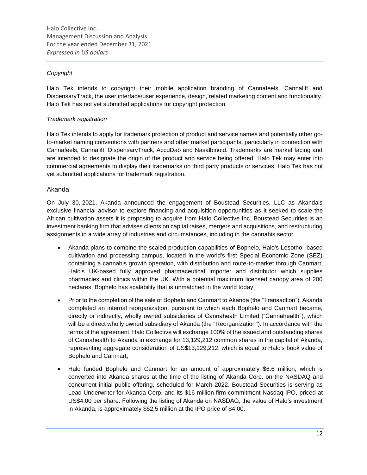### *Copyright*

Halo Tek intends to copyright their mobile application branding of Cannafeels, Cannalift and DispensaryTrack, the user interface/user experience, design, related marketing content and functionality. Halo Tek has not yet submitted applications for copyright protection.

### *Trademark registration*

Halo Tek intends to apply for trademark protection of product and service names and potentially other goto-market naming conventions with partners and other market participants, particularly in connection with Cannafeels, Cannalift, DispensaryTrack, AccuDab and Nasalbinoid. Trademarks are market facing and are intended to designate the origin of the product and service being offered. Halo Tek may enter into commercial agreements to display their trademarks on third party products or services. Halo Tek has not yet submitted applications for trademark registration.

### Akanda

On July 30, 2021, Akanda announced the engagement of Boustead Securities, LLC as Akanda's exclusive financial advisor to explore financing and acquisition opportunities as it seeked to scale the African cultivation assets it is proposing to acquire from Halo Collective Inc. Boustead Securities is an investment banking firm that advises clients on capital raises, mergers and acquisitions, and restructuring assignments in a wide array of industries and circumstances, including in the cannabis sector.

- Akanda plans to combine the scaled production capabilities of Bophelo, Halo's Lesotho -based cultivation and processing campus, located in the world's first Special Economic Zone (SEZ) containing a cannabis growth operation, with distribution and route-to-market through Canmart, Halo's UK-based fully approved pharmaceutical importer and distributor which supplies pharmacies and clinics within the UK. With a potential maximum licensed canopy area of 200 hectares, Bophelo has scalability that is unmatched in the world today;
- Prior to the completion of the sale of Bophelo and Canmart to Akanda (the "Transaction"), Akanda completed an internal reorganization, pursuant to which each Bophelo and Canmart became, directly or indirectly, wholly owned subsidiaries of Cannaheath Limited ("Cannahealth"), which will be a direct wholly owned subsidiary of Akanda (the "Reorganization"). In accordance with the terms of the agreement, Halo Collective will exchange 100% of the issued and outstanding shares of Cannahealth to Akanda in exchange for 13,129,212 common shares in the capital of Akanda, representing aggregate consideration of US\$13,129,212, which is equal to Halo's book value of Bophelo and Canmart;
- Halo funded Bophelo and Canmart for an amount of approximately \$6.6 million, which is converted into Akanda shares at the time of the listing of Akanda Corp. on the NASDAQ and concurrent initial public offering, scheduled for March 2022. Boustead Securities is serving as Lead Underwriter for Akanda Corp. and its \$16 million firm commitment Nasdaq IPO, priced at US\$4.00 per share. Following the listing of Akanda on NASDAQ, the value of Halo's investment in Akanda, is approximately \$52.5 million at the IPO price of \$4.00.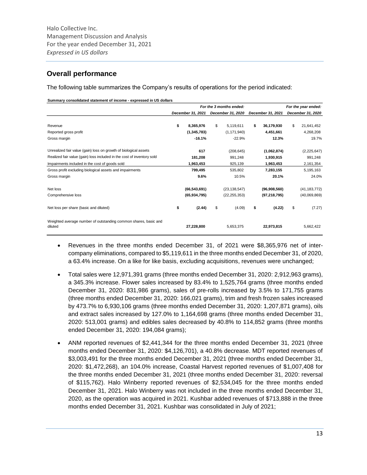## **Overall performance**

The following table summarizes the Company's results of operations for the period indicated:

**Summary consolidated statement of income - expressed in US dollars**

|                                                                            |                   | For the 3 months ended: |                   | For the year ended: |                   |  |  |
|----------------------------------------------------------------------------|-------------------|-------------------------|-------------------|---------------------|-------------------|--|--|
|                                                                            | December 31, 2021 | December 31, 2020       | December 31, 2021 |                     | December 31, 2020 |  |  |
|                                                                            |                   |                         |                   |                     |                   |  |  |
| Revenue                                                                    | \$<br>8,365,976   | \$<br>5,119,611         | \$<br>36,179,930  | \$                  | 21,641,452        |  |  |
| Reported gross profit                                                      | (1, 345, 783)     | (1, 171, 940)           | 4,451,661         |                     | 4,268,208         |  |  |
| Gross margin                                                               | $-16.1%$          | $-22.9%$                | 12.3%             |                     | 19.7%             |  |  |
| Unrealized fair value (gain) loss on growth of biological assets           | 617               | (208, 645)              | (1,062,874)       |                     | (2,225,647)       |  |  |
| Realized fair value (gain) loss included in the cost of inventory sold     | 181,208           | 991,248                 | 1,930,915         |                     | 991,248           |  |  |
| Impairments included in the cost of goods sold                             | 1,963,453         | 925,139                 | 1,963,453         |                     | 2,161,354         |  |  |
| Gross profit excluding biological assets and impairments                   | 799,495           | 535,802                 | 7,283,155         |                     | 5,195,163         |  |  |
| Gross margin                                                               | 9.6%              | 10.5%                   | 20.1%             |                     | 24.0%             |  |  |
| Net loss                                                                   | (66, 543, 691)    | (23, 138, 547)          | (96,908,560)      |                     | (41, 183, 772)    |  |  |
| Comprehensive loss                                                         | (65, 934, 795)    | (22, 255, 353)          | (97, 218, 795)    |                     | (40,069,869)      |  |  |
| Net loss per share (basic and diluted)                                     | \$<br>(2.44)      | \$<br>(4.09)            | \$<br>(4.22)      | \$                  | (7.27)            |  |  |
| Weighted average number of outstanding common shares, basic and<br>diluted | 27,228,800        | 5,653,375               | 22,973,815        |                     | 5,662,422         |  |  |

- Revenues in the three months ended December 31, of 2021 were \$8,365,976 net of intercompany eliminations, compared to \$5,119,611 in the three months ended December 31, of 2020, a 63.4% increase. On a like for like basis, excluding acquisitions, revenues were unchanged;
- Total sales were 12,971,391 grams (three months ended December 31, 2020: 2,912,963 grams), a 345.3% increase. Flower sales increased by 83.4% to 1,525,764 grams (three months ended December 31, 2020: 831,986 grams), sales of pre-rolls increased by 3.5% to 171,755 grams (three months ended December 31, 2020: 166,021 grams), trim and fresh frozen sales increased by 473.7% to 6,930,106 grams (three months ended December 31, 2020: 1,207,871 grams), oils and extract sales increased by 127.0% to 1,164,698 grams (three months ended December 31, 2020: 513,001 grams) and edibles sales decreased by 40.8% to 114,852 grams (three months ended December 31, 2020: 194,084 grams);
- ANM reported revenues of \$2,441,344 for the three months ended December 31, 2021 (three months ended December 31, 2020: \$4,126,701), a 40.8% decrease. MDT reported revenues of \$3,003,491 for the three months ended December 31, 2021 (three months ended December 31, 2020: \$1,472,268), an 104.0% increase, Coastal Harvest reported revenues of \$1,007,408 for the three months ended December 31, 2021 (three months ended December 31, 2020: reversal of \$115,762). Halo Winberry reported revenues of \$2,534,045 for the three months ended December 31, 2021. Halo Winberry was not included in the three months ended December 31, 2020, as the operation was acquired in 2021. Kushbar added revenues of \$713,888 in the three months ended December 31, 2021. Kushbar was consolidated in July of 2021;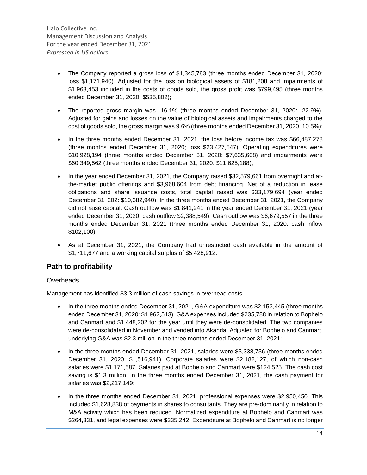- The Company reported a gross loss of \$1,345,783 (three months ended December 31, 2020: loss \$1,171,940). Adjusted for the loss on biological assets of \$181,208 and impairments of \$1,963,453 included in the costs of goods sold, the gross profit was \$799,495 (three months ended December 31, 2020: \$535,802);
- The reported gross margin was -16.1% (three months ended December 31, 2020: -22.9%). Adjusted for gains and losses on the value of biological assets and impairments charged to the cost of goods sold, the gross margin was 9.6% (three months ended December 31, 2020: 10.5%);
- In the three months ended December 31, 2021, the loss before income tax was \$66,487,278 (three months ended December 31, 2020; loss \$23,427,547). Operating expenditures were \$10,928,194 (three months ended December 31, 2020: \$7,635,608) and impairments were \$60,349,562 (three months ended December 31, 2020: \$11,625,188);
- In the year ended December 31, 2021, the Company raised \$32,579,661 from overnight and atthe-market public offerings and \$3,968,604 from debt financing. Net of a reduction in lease obligations and share issuance costs, total capital raised was \$33,179,694 (year ended December 31, 202: \$10,382,940). In the three months ended December 31, 2021, the Company did not raise capital. Cash outflow was \$1,841,241 in the year ended December 31, 2021 (year ended December 31, 2020: cash outflow \$2,388,549). Cash outflow was \$6,679,557 in the three months ended December 31, 2021 (three months ended December 31, 2020: cash inflow \$102,100);
- As at December 31, 2021, the Company had unrestricted cash available in the amount of \$1,711,677 and a working capital surplus of \$5,428,912.

### **Path to profitability**

### **Overheads**

Management has identified \$3.3 million of cash savings in overhead costs.

- In the three months ended December 31, 2021, G&A expenditure was \$2,153,445 (three months ended December 31, 2020: \$1,962,513). G&A expenses included \$235,788 in relation to Bophelo and Canmart and \$1,448,202 for the year until they were de-consolidated. The two companies were de-consolidated in November and vended into Akanda. Adjusted for Bophelo and Canmart, underlying G&A was \$2.3 million in the three months ended December 31, 2021;
- In the three months ended December 31, 2021, salaries were \$3,338,736 (three months ended December 31, 2020: \$1,516,941). Corporate salaries were \$2,182,127, of which non-cash salaries were \$1,171,587. Salaries paid at Bophelo and Canmart were \$124,525. The cash cost saving is \$1.3 million. In the three months ended December 31, 2021, the cash payment for salaries was \$2,217,149;
- In the three months ended December 31, 2021, professional expenses were \$2,950,450. This included \$1,628,838 of payments in shares to consultants. They are pre-dominantly in relation to M&A activity which has been reduced. Normalized expenditure at Bophelo and Canmart was \$264,331, and legal expenses were \$335,242. Expenditure at Bophelo and Canmart is no longer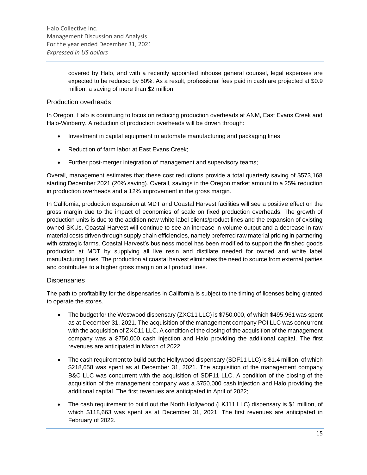covered by Halo, and with a recently appointed inhouse general counsel, legal expenses are expected to be reduced by 50%. As a result, professional fees paid in cash are projected at \$0.9 million, a saving of more than \$2 million.

### Production overheads

In Oregon, Halo is continuing to focus on reducing production overheads at ANM, East Evans Creek and Halo-Winberry. A reduction of production overheads will be driven through:

- Investment in capital equipment to automate manufacturing and packaging lines
- Reduction of farm labor at East Evans Creek;
- Further post-merger integration of management and supervisory teams;

Overall, management estimates that these cost reductions provide a total quarterly saving of \$573,168 starting December 2021 (20% saving). Overall, savings in the Oregon market amount to a 25% reduction in production overheads and a 12% improvement in the gross margin.

In California, production expansion at MDT and Coastal Harvest facilities will see a positive effect on the gross margin due to the impact of economies of scale on fixed production overheads. The growth of production units is due to the addition new white label clients/product lines and the expansion of existing owned SKUs. Coastal Harvest will continue to see an increase in volume output and a decrease in raw material costs driven through supply chain efficiencies, namely preferred raw material pricing in partnering with strategic farms. Coastal Harvest's business model has been modified to support the finished goods production at MDT by supplying all live resin and distillate needed for owned and white label manufacturing lines. The production at coastal harvest eliminates the need to source from external parties and contributes to a higher gross margin on all product lines.

### **Dispensaries**

The path to profitability for the dispensaries in California is subject to the timing of licenses being granted to operate the stores.

- The budget for the Westwood dispensary (ZXC11 LLC) is \$750,000, of which \$495,961 was spent as at December 31, 2021. The acquisition of the management company POI LLC was concurrent with the acquisition of ZXC11 LLC. A condition of the closing of the acquisition of the management company was a \$750,000 cash injection and Halo providing the additional capital. The first revenues are anticipated in March of 2022;
- The cash requirement to build out the Hollywood dispensary (SDF11 LLC) is \$1.4 million, of which \$218,658 was spent as at December 31, 2021. The acquisition of the management company B&C LLC was concurrent with the acquisition of SDF11 LLC. A condition of the closing of the acquisition of the management company was a \$750,000 cash injection and Halo providing the additional capital. The first revenues are anticipated in April of 2022;
- The cash requirement to build out the North Hollywood (LKJ11 LLC) dispensary is \$1 million, of which \$118,663 was spent as at December 31, 2021. The first revenues are anticipated in February of 2022.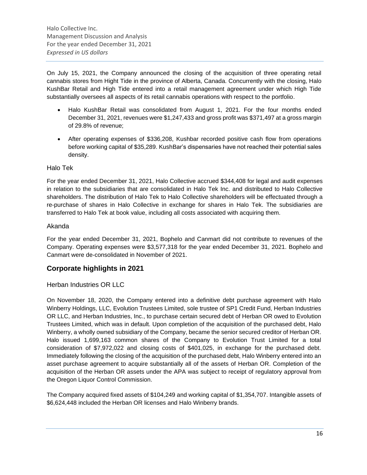On July 15, 2021, the Company announced the closing of the acquisition of three operating retail cannabis stores from Hight Tide in the province of Alberta, Canada. Concurrently with the closing, Halo KushBar Retail and High Tide entered into a retail management agreement under which High Tide substantially oversees all aspects of its retail cannabis operations with respect to the portfolio.

- Halo KushBar Retail was consolidated from August 1, 2021. For the four months ended December 31, 2021, revenues were \$1,247,433 and gross profit was \$371,497 at a gross margin of 29.8% of revenue;
- After operating expenses of \$336,208, Kushbar recorded positive cash flow from operations before working capital of \$35,289. KushBar's dispensaries have not reached their potential sales density.

### Halo Tek

For the year ended December 31, 2021, Halo Collective accrued \$344,408 for legal and audit expenses in relation to the subsidiaries that are consolidated in Halo Tek Inc. and distributed to Halo Collective shareholders. The distribution of Halo Tek to Halo Collective shareholders will be effectuated through a re-purchase of shares in Halo Collective in exchange for shares in Halo Tek. The subsidiaries are transferred to Halo Tek at book value, including all costs associated with acquiring them.

### Akanda

For the year ended December 31, 2021, Bophelo and Canmart did not contribute to revenues of the Company. Operating expenses were \$3,577,318 for the year ended December 31, 2021. Bophelo and Canmart were de-consolidated in November of 2021.

### **Corporate highlights in 2021**

### Herban Industries OR LLC

On November 18, 2020, the Company entered into a definitive debt purchase agreement with Halo Winberry Holdings, LLC, Evolution Trustees Limited, sole trustee of SP1 Credit Fund, Herban Industries OR LLC, and Herban Industries, Inc., to purchase certain secured debt of Herban OR owed to Evolution Trustees Limited, which was in default. Upon completion of the acquisition of the purchased debt, Halo Winberry, a wholly owned subsidiary of the Company, became the senior secured creditor of Herban OR. Halo issued 1,699,163 common shares of the Company to Evolution Trust Limited for a total consideration of \$7,972,022 and closing costs of \$401,025, in exchange for the purchased debt. Immediately following the closing of the acquisition of the purchased debt, Halo Winberry entered into an asset purchase agreement to acquire substantially all of the assets of Herban OR. Completion of the acquisition of the Herban OR assets under the APA was subject to receipt of regulatory approval from the Oregon Liquor Control Commission.

The Company acquired fixed assets of \$104,249 and working capital of \$1,354,707. Intangible assets of \$6,624,448 included the Herban OR licenses and Halo Winberry brands.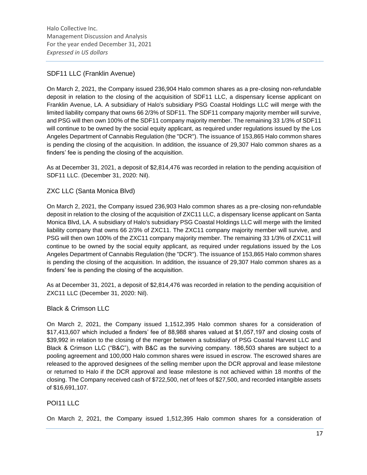### SDF11 LLC (Franklin Avenue)

On March 2, 2021, the Company issued 236,904 Halo common shares as a pre-closing non-refundable deposit in relation to the closing of the acquisition of SDF11 LLC, a dispensary license applicant on Franklin Avenue, LA. A subsidiary of Halo's subsidiary PSG Coastal Holdings LLC will merge with the limited liability company that owns 66 2/3% of SDF11. The SDF11 company majority member will survive, and PSG will then own 100% of the SDF11 company majority member. The remaining 33 1/3% of SDF11 will continue to be owned by the social equity applicant, as required under regulations issued by the Los Angeles Department of Cannabis Regulation (the "DCR"). The issuance of 153,865 Halo common shares is pending the closing of the acquisition. In addition, the issuance of 29,307 Halo common shares as a finders' fee is pending the closing of the acquisition.

As at December 31, 2021, a deposit of \$2,814,476 was recorded in relation to the pending acquisition of SDF11 LLC. (December 31, 2020: Nil).

### ZXC LLC (Santa Monica Blvd)

On March 2, 2021, the Company issued 236,903 Halo common shares as a pre-closing non-refundable deposit in relation to the closing of the acquisition of ZXC11 LLC, a dispensary license applicant on Santa Monica Blvd, LA. A subsidiary of Halo's subsidiary PSG Coastal Holdings LLC will merge with the limited liability company that owns 66 2/3% of ZXC11. The ZXC11 company majority member will survive, and PSG will then own 100% of the ZXC11 company majority member. The remaining 33 1/3% of ZXC11 will continue to be owned by the social equity applicant, as required under regulations issued by the Los Angeles Department of Cannabis Regulation (the "DCR"). The issuance of 153,865 Halo common shares is pending the closing of the acquisition. In addition, the issuance of 29,307 Halo common shares as a finders' fee is pending the closing of the acquisition.

As at December 31, 2021, a deposit of \$2,814,476 was recorded in relation to the pending acquisition of ZXC11 LLC (December 31, 2020: Nil).

### Black & Crimson LLC

On March 2, 2021, the Company issued 1,1512,395 Halo common shares for a consideration of \$17,413,607 which included a finders' fee of 88,988 shares valued at \$1,057,197 and closing costs of \$39,992 in relation to the closing of the merger between a subsidiary of PSG Coastal Harvest LLC and Black & Crimson LLC ("B&C"), with B&C as the surviving company. 186,503 shares are subject to a pooling agreement and 100,000 Halo common shares were issued in escrow. The escrowed shares are released to the approved designees of the selling member upon the DCR approval and lease milestone or returned to Halo if the DCR approval and lease milestone is not achieved within 18 months of the closing. The Company received cash of \$722,500, net of fees of \$27,500, and recorded intangible assets of \$16,691,107.

### POI11 LLC

On March 2, 2021, the Company issued 1,512,395 Halo common shares for a consideration of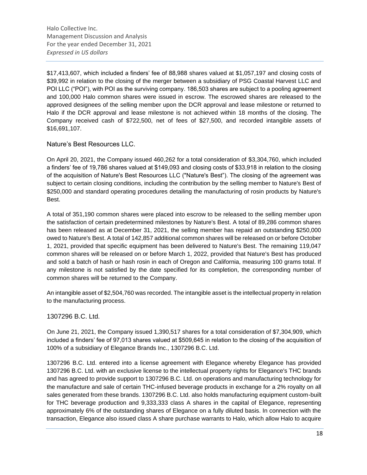\$17,413,607, which included a finders' fee of 88,988 shares valued at \$1,057,197 and closing costs of \$39,992 in relation to the closing of the merger between a subsidiary of PSG Coastal Harvest LLC and POI LLC ("POI"), with POI as the surviving company. 186,503 shares are subject to a pooling agreement and 100,000 Halo common shares were issued in escrow. The escrowed shares are released to the approved designees of the selling member upon the DCR approval and lease milestone or returned to Halo if the DCR approval and lease milestone is not achieved within 18 months of the closing. The Company received cash of \$722,500, net of fees of \$27,500, and recorded intangible assets of \$16,691,107.

### Nature's Best Resources LLC.

On April 20, 2021, the Company issued 460,262 for a total consideration of \$3,304,760, which included a finders' fee of 19,786 shares valued at \$149,093 and closing costs of \$33,918 in relation to the closing of the acquisition of Nature's Best Resources LLC ("Nature's Best"). The closing of the agreement was subject to certain closing conditions, including the contribution by the selling member to Nature's Best of \$250,000 and standard operating procedures detailing the manufacturing of rosin products by Nature's Best.

A total of 351,190 common shares were placed into escrow to be released to the selling member upon the satisfaction of certain predetermined milestones by Nature's Best. A total of 89,286 common shares has been released as at December 31, 2021, the selling member has repaid an outstanding \$250,000 owed to Nature's Best. A total of 142,857 additional common shares will be released on or before October 1, 2021, provided that specific equipment has been delivered to Nature's Best. The remaining 119,047 common shares will be released on or before March 1, 2022, provided that Nature's Best has produced and sold a batch of hash or hash rosin in each of Oregon and California, measuring 100 grams total. If any milestone is not satisfied by the date specified for its completion, the corresponding number of common shares will be returned to the Company.

An intangible asset of \$2,504,760 was recorded. The intangible asset is the intellectual property in relation to the manufacturing process.

### 1307296 B.C. Ltd.

On June 21, 2021, the Company issued 1,390,517 shares for a total consideration of \$7,304,909, which included a finders' fee of 97,013 shares valued at \$509,645 in relation to the closing of the acquisition of 100% of a subsidiary of Elegance Brands Inc., 1307296 B.C. Ltd.

1307296 B.C. Ltd. entered into a license agreement with Elegance whereby Elegance has provided 1307296 B.C. Ltd. with an exclusive license to the intellectual property rights for Elegance's THC brands and has agreed to provide support to 1307296 B.C. Ltd. on operations and manufacturing technology for the manufacture and sale of certain THC-infused beverage products in exchange for a 2% royalty on all sales generated from these brands. 1307296 B.C. Ltd. also holds manufacturing equipment custom-built for THC beverage production and 9,333,333 class A shares in the capital of Elegance, representing approximately 6% of the outstanding shares of Elegance on a fully diluted basis. In connection with the transaction, Elegance also issued class A share purchase warrants to Halo, which allow Halo to acquire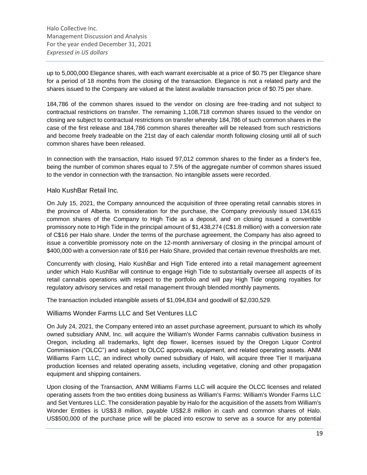up to 5,000,000 Elegance shares, with each warrant exercisable at a price of \$0.75 per Elegance share for a period of 18 months from the closing of the transaction. Elegance is not a related party and the shares issued to the Company are valued at the latest available transaction price of \$0.75 per share.

184,786 of the common shares issued to the vendor on closing are free-trading and not subject to contractual restrictions on transfer. The remaining 1,108,718 common shares issued to the vendor on closing are subject to contractual restrictions on transfer whereby 184,786 of such common shares in the case of the first release and 184,786 common shares thereafter will be released from such restrictions and become freely tradeable on the 21st day of each calendar month following closing until all of such common shares have been released.

In connection with the transaction, Halo issued 97,012 common shares to the finder as a finder's fee, being the number of common shares equal to 7.5% of the aggregate number of common shares issued to the vendor in connection with the transaction. No intangible assets were recorded.

### Halo KushBar Retail Inc.

On July 15, 2021, the Company announced the acquisition of three operating retail cannabis stores in the province of Alberta. In consideration for the purchase, the Company previously issued 134,615 common shares of the Company to High Tide as a deposit, and on closing issued a convertible promissory note to High Tide in the principal amount of \$1,438,274 (C\$1.8 million) with a conversion rate of C\$16 per Halo share. Under the terms of the purchase agreement, the Company has also agreed to issue a convertible promissory note on the 12-month anniversary of closing in the principal amount of \$400,000 with a conversion rate of \$16 per Halo Share, provided that certain revenue thresholds are met.

Concurrently with closing, Halo KushBar and High Tide entered into a retail management agreement under which Halo KushBar will continue to engage High Tide to substantially oversee all aspects of its retail cannabis operations with respect to the portfolio and will pay High Tide ongoing royalties for regulatory advisory services and retail management through blended monthly payments.

The transaction included intangible assets of \$1,094,834 and goodwill of \$2,030,529.

### Williams Wonder Farms LLC and Set Ventures LLC

On July 24, 2021, the Company entered into an asset purchase agreement, pursuant to which its wholly owned subsidiary ANM, Inc. will acquire the William's Wonder Farms cannabis cultivation business in Oregon, including all trademarks, light dep flower, licenses issued by the Oregon Liquor Control Commission ("OLCC") and subject to OLCC approvals, equipment, and related operating assets. ANM Williams Farm LLC, an indirect wholly owned subsidiary of Halo, will acquire three Tier II marijuana production licenses and related operating assets, including vegetative, cloning and other propagation equipment and shipping containers.

Upon closing of the Transaction, ANM Williams Farms LLC will acquire the OLCC licenses and related operating assets from the two entities doing business as William's Farms: William's Wonder Farms LLC and Set Ventures LLC. The consideration payable by Halo for the acquisition of the assets from William's Wonder Entities is US\$3.8 million, payable US\$2.8 million in cash and common shares of Halo. US\$500,000 of the purchase price will be placed into escrow to serve as a source for any potential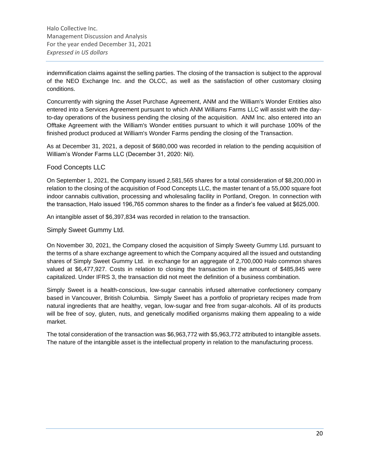indemnification claims against the selling parties. The closing of the transaction is subject to the approval of the NEO Exchange Inc. and the OLCC, as well as the satisfaction of other customary closing conditions.

Concurrently with signing the Asset Purchase Agreement, ANM and the William's Wonder Entities also entered into a Services Agreement pursuant to which ANM Williams Farms LLC will assist with the dayto-day operations of the business pending the closing of the acquisition. ANM Inc. also entered into an Offtake Agreement with the William's Wonder entities pursuant to which it will purchase 100% of the finished product produced at William's Wonder Farms pending the closing of the Transaction.

As at December 31, 2021, a deposit of \$680,000 was recorded in relation to the pending acquisition of William's Wonder Farms LLC (December 31, 2020: Nil).

### Food Concepts LLC

On September 1, 2021, the Company issued 2,581,565 shares for a total consideration of \$8,200,000 in relation to the closing of the acquisition of Food Concepts LLC, the master tenant of a 55,000 square foot indoor cannabis cultivation, processing and wholesaling facility in Portland, Oregon. In connection with the transaction, Halo issued 196,765 common shares to the finder as a finder's fee valued at \$625,000.

An intangible asset of \$6,397,834 was recorded in relation to the transaction.

Simply Sweet Gummy Ltd.

On November 30, 2021, the Company closed the acquisition of Simply Sweety Gummy Ltd. pursuant to the terms of a share exchange agreement to which the Company acquired all the issued and outstanding shares of Simply Sweet Gummy Ltd. in exchange for an aggregate of 2,700,000 Halo common shares valued at \$6,477,927. Costs in relation to closing the transaction in the amount of \$485,845 were capitalized. Under IFRS 3, the transaction did not meet the definition of a business combination.

Simply Sweet is a health-conscious, low-sugar cannabis infused alternative confectionery company based in Vancouver, British Columbia. Simply Sweet has a portfolio of proprietary recipes made from natural ingredients that are healthy, vegan, low-sugar and free from sugar-alcohols. All of its products will be free of soy, gluten, nuts, and genetically modified organisms making them appealing to a wide market.

The total consideration of the transaction was \$6,963,772 with \$5,963,772 attributed to intangible assets. The nature of the intangible asset is the intellectual property in relation to the manufacturing process.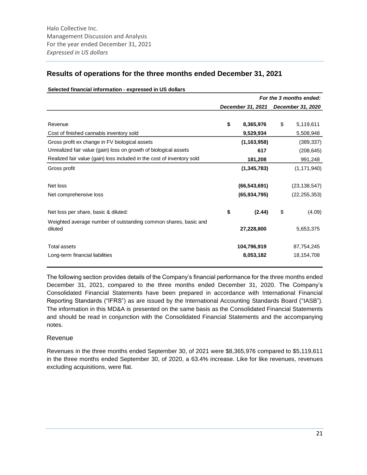### **Results of operations for the three months ended December 31, 2021**

|                                                                            |                   |               | For the 3 months ended: |
|----------------------------------------------------------------------------|-------------------|---------------|-------------------------|
|                                                                            | December 31, 2021 |               | December 31, 2020       |
| Revenue                                                                    | \$<br>8,365,976   | $\frac{1}{2}$ | 5,119,611               |
| Cost of finished cannabis inventory sold                                   | 9,529,934         |               | 5,508,948               |
| Gross profit ex change in FV biological assets                             | (1, 163, 958)     |               | (389, 337)              |
| Unrealized fair value (gain) loss on growth of biological assets           | 617               |               | (208, 645)              |
| Realized fair value (gain) loss included in the cost of inventory sold     | 181,208           |               | 991,248                 |
| Gross profit                                                               | (1, 345, 783)     |               | (1, 171, 940)           |
| Net loss                                                                   | (66, 543, 691)    |               | (23, 138, 547)          |
| Net comprehensive loss                                                     | (65, 934, 795)    |               | (22, 255, 353)          |
| Net loss per share, basic & diluted:                                       | \$<br>(2.44)      | \$            | (4.09)                  |
| Weighted average number of outstanding common shares, basic and<br>diluted | 27,228,800        |               | 5,653,375               |
| Total assets                                                               | 104,796,919       |               | 87,754,245              |
| Long-term financial liabilities                                            | 8,053,182         |               | 18,154,708              |

#### **Selected financial information - expressed in US dollars**

The following section provides details of the Company's financial performance for the three months ended December 31, 2021, compared to the three months ended December 31, 2020. The Company's Consolidated Financial Statements have been prepared in accordance with International Financial Reporting Standards ("IFRS") as are issued by the International Accounting Standards Board ("IASB"). The information in this MD&A is presented on the same basis as the Consolidated Financial Statements and should be read in conjunction with the Consolidated Financial Statements and the accompanying notes.

### Revenue

Revenues in the three months ended September 30, of 2021 were \$8,365,976 compared to \$5,119,611 in the three months ended September 30, of 2020, a 63.4% increase. Like for like revenues, revenues excluding acquisitions, were flat.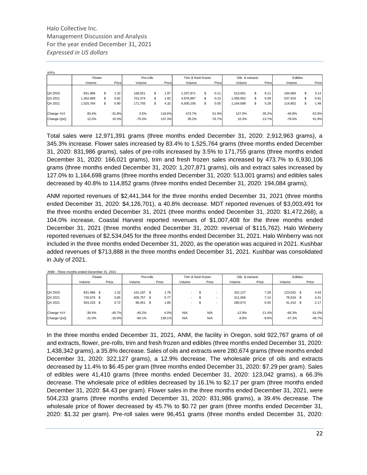| <b>KPI's</b> |           |     |          |           |        |                     |     |                 |           |            |          |    |          |
|--------------|-----------|-----|----------|-----------|--------|---------------------|-----|-----------------|-----------|------------|----------|----|----------|
|              | Flower    |     |          | Pre-rolls |        | Trim & fresh frozen |     | Oils & extracts |           | Edibles    |          |    |          |
|              | Volume    |     | Price    | Volume    | Price  | Volume              |     | Price           | Volume    | Price      | Volume   |    | Price    |
|              |           |     |          |           |        |                     |     |                 |           |            |          |    |          |
| Q4 2020      | 831,986   | S   | 1.32     | 166,021   | .97    | 1,207,871           | \$. | 0.11            | 513,001   | \$<br>8.11 | 194,084  | \$ | 3.14     |
| Q3 2021      | 1,362,669 | S   | 0.82     | 701,074   | l.82   | 4.976.897           | \$  | 0.23            | 1,056,062 | \$<br>6.09 | 537,424  | \$ | 0.91     |
| Q4 2021      | 1,525,764 | \$. | 0.90     | 171,755   | 4.32   | 6,930,106           | \$. | 0.05            | 1,164,698 | \$<br>5.26 | 114,852  | \$ | 1.48     |
|              |           |     |          |           |        |                     |     |                 |           |            |          |    |          |
| Change YoY   | 83.4%     |     | $-31.8%$ | 3.5%      | 118.6% | 473.7%              |     | $-51.9%$        | 127.0%    | $-35.2%$   | $-40.8%$ |    | $-52.9%$ |
| Change QoQ   | 12.0%     |     | 10.3%    | $-75.5%$  | 137.3% | 39.2%               |     | $-76.7%$        | 10.3%     | $-13.7%$   | $-78.6%$ |    | 61.9%    |
|              |           |     |          |           |        |                     |     |                 |           |            |          |    |          |

Total sales were 12,971,391 grams (three months ended December 31, 2020: 2,912,963 grams), a 345.3% increase. Flower sales increased by 83.4% to 1,525,764 grams (three months ended December 31, 2020: 831,986 grams), sales of pre-rolls increased by 3.5% to 171,755 grams (three months ended December 31, 2020: 166,021 grams), trim and fresh frozen sales increased by 473.7% to 6,930,106 grams (three months ended December 31, 2020: 1,207,871 grams), oils and extract sales increased by 127.0% to 1,164,698 grams (three months ended December 31, 2020: 513,001 grams) and edibles sales decreased by 40.8% to 114,852 grams (three months ended December 31, 2020: 194,084 grams);

ANM reported revenues of \$2,441,344 for the three months ended December 31, 2021 (three months ended December 31, 2020: \$4,126,701), a 40.8% decrease. MDT reported revenues of \$3,003,491 for the three months ended December 31, 2021 (three months ended December 31, 2020: \$1,472,268), a 104.0% increase, Coastal Harvest reported revenues of \$1,007,408 for the three months ended December 31, 2021 (three months ended December 31, 2020: reversal of \$115,762). Halo Winberry reported revenues of \$2,534,045 for the three months ended December 31, 2021. Halo Winberry was not included in the three months ended December 31, 2020, as the operation was acquired in 2021. Kushbar added revenues of \$713,888 in the three months ended December 31, 2021. Kushbar was consolidated in July of 2021.

|            | ANM - Three months ended December 31, 2021 |          |            |           |        |                     |       |                 |          |            |         |          |
|------------|--------------------------------------------|----------|------------|-----------|--------|---------------------|-------|-----------------|----------|------------|---------|----------|
|            | Flower                                     |          |            | Pre-rolls |        | Trim & fresh frozen |       | Oils & extracts |          |            | Edibles |          |
|            | Volume                                     | Price    | Volume     |           | Price  | Volume              | Price | Volume          | Price    | Volume     |         | Price    |
|            |                                            |          |            |           |        |                     |       |                 |          |            |         |          |
| Q4 2020    | 831,986 \$                                 | 1.32     | 161,187 \$ |           | 1.78   | $\sim$              |       | 322,127         | 7.29     | 123,042 \$ |         | 4.43     |
| Q3 2021    | 730,579 \$                                 | 0.85     | 605,757    | -S        | 0.77   |                     |       | 311.066         | 7.14     | 78,534 \$  |         | 4.31     |
| Q4 2021    | 504,233 \$                                 | 0.72     | 96,451 \$  |           | 1.85   | ۰.                  |       | 280,674         | 6.45     | 41,410 \$  |         | 2.17     |
| Change YoY | $-39.4%$                                   | $-45.7%$ | $-40.2%$   |           | 4.0%   | N/A                 | N/A   | $-12.9%$        | $-11.4%$ | $-66.3%$   |         | $-51.0%$ |
| Change QoQ | $-31.0%$                                   | $-16.0%$ | $-84.1%$   |           | 139.1% | N/A                 | N/A   | $-9.8%$         | $-9.6%$  | $-47.3%$   |         | $-49.7%$ |
|            |                                            |          |            |           |        |                     |       |                 |          |            |         |          |

In the three months ended December 31, 2021, ANM, the facility in Oregon, sold 922,767 grams of oil and extracts, flower, pre-rolls, trim and fresh frozen and edibles (three months ended December 31, 2020: 1,438,342 grams), a 35.8% decrease. Sales of oils and extracts were 280,674 grams (three months ended December 31, 2020: 322,127 grams), a 12.9% decrease. The wholesale price of oils and extracts decreased by 11.4% to \$6.45 per gram (three months ended December 31, 2020: \$7.29 per gram). Sales of edibles were 41,410 grams (three months ended December 31, 2020: 123,042 grams), a 66.3% decrease. The wholesale price of edibles decreased by 16.1% to \$2.17 per gram (three months ended December 31, 2020: \$4.43 per gram). Flower sales in the three months ended December 31, 2021, were 504,233 grams (three months ended December 31, 2020: 831,986 grams), a 39.4% decrease. The wholesale price of flower decreased by 45.7% to \$0.72 per gram (three months ended December 31, 2020: \$1.32 per gram). Pre-roll sales were 96,451 grams (three months ended December 31, 2020: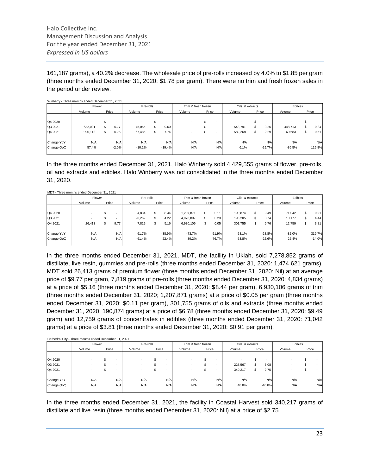161,187 grams), a 40.2% decrease. The wholesale price of pre-rolls increased by 4.0% to \$1.85 per gram (three months ended December 31, 2020: \$1.78 per gram). There were no trim and fresh frozen sales in the period under review.

|            | Flower  |       |         | Pre-rolls |          | Trim & fresh frozen |       |     | Oils & extracts |    |          | Edibles  |    |        |
|------------|---------|-------|---------|-----------|----------|---------------------|-------|-----|-----------------|----|----------|----------|----|--------|
|            | Volume  | Price |         | Volume    | Price    | Volume              | Price |     | Volume          |    | Price    | Volume   |    | Price  |
| Q4 2020    |         |       |         |           |          |                     |       |     |                 | ъ  |          |          | ж  |        |
| Q3 2021    | 632.091 | S.    | 0.77    | 75,055    | 9.60     |                     |       | -   | 548.791         | \$ | 3.26     | 448,713  | \$ | 0.24   |
| Q4 2021    | 995,118 | \$    | 0.76    | 67,486    | 7.74     |                     | \$    |     | 582,268         | \$ | 2.29     | 60,683   | \$ | 0.51   |
| Change YoY | N/A     |       | N/A     | N/A       | N/A      | N/A                 |       | N/A | N/A             |    | N/A      | N/A      |    | N/A    |
| Change QoQ | 57.4%   |       | $-2.0%$ | $-10.1%$  | $-19.4%$ | N/A                 |       | N/A | 6.1%            |    | $-29.7%$ | $-86.5%$ |    | 115.8% |

In the three months ended December 31, 2021, Halo Winberry sold 4,429,555 grams of flower, pre-rolls, oil and extracts and edibles. Halo Winberry was not consolidated in the three months ended December 31, 2020.

|            | MDT - Three months ended December 31, 2021 |       |           |          |                     |     |                 |         |            |          |     |          |
|------------|--------------------------------------------|-------|-----------|----------|---------------------|-----|-----------------|---------|------------|----------|-----|----------|
|            | Flower                                     |       | Pre-rolls |          | Trim & fresh frozen |     | Oils & extracts |         | Edibles    |          |     |          |
|            | Volume                                     | Price | Volume    | Price    | Volume              |     | Price           | Volume  | Price      | Volume   |     | Price    |
|            |                                            |       |           |          |                     |     |                 |         |            |          |     |          |
| Q4 2020    |                                            |       | 4,834     | 8.44     | 1,207,871           | S.  | 0.11            | 190,874 | \$<br>9.49 | 71.042   |     | 0.91     |
| Q3 2021    |                                            | ۰     | 20,262    | 4.22     | 4,976,897           | \$  | 0.23            | 196,205 | \$<br>8.74 | 10,177   | \$. | 4.44     |
| Q4 2021    | 26.413                                     | 9.77  | 7,819     | 5.16     | 6.930.106           | \$. | 0.05            | 301,755 | \$<br>6.76 | 12.759   | \$  | 3.81     |
| Change YoY | N/A                                        | N/A   | 61.7%     | $-38.9%$ | 473.7%              |     | $-51.9%$        | 58.1%   | $-28.8%$   | $-82.0%$ |     | 319.7%   |
| Change QoQ | N/A                                        | N/A   | $-61.4%$  | 22.4%    | 39.2%               |     | $-76.7%$        | 53.8%   | $-22.6%$   | 25.4%    |     | $-14.0%$ |
|            |                                            |       |           |          |                     |     |                 |         |            |          |     |          |

In the three months ended December 31, 2021, MDT, the facility in Ukiah, sold 7,278,852 grams of distillate, live resin, gummies and pre-rolls (three months ended December 31, 2020: 1,474,621 grams). MDT sold 26,413 grams of premium flower (three months ended December 31, 2020: Nil) at an average price of \$9.77 per gram, 7,819 grams of pre-rolls (three months ended December 31, 2020: 4,834 grams) at a price of \$5.16 (three months ended December 31, 2020: \$8.44 per gram), 6,930,106 grams of trim (three months ended December 31, 2020; 1,207,871 grams) at a price of \$0.05 per gram (three months ended December 31, 2020: \$0.11 per gram), 301,755 grams of oils and extracts (three months ended December 31, 2020; 190,874 grams) at a price of \$6.78 (three months ended December 31, 2020: \$9.49 gram) and 12,759 grams of concentrates in edibles (three months ended December 31, 2020: 71,042 grams) at a price of \$3.81 (three months ended December 31, 2020: \$0.91 per gram).

|  | Cathedral City - Three months ended December 31, 2021 |  |
|--|-------------------------------------------------------|--|

|        |       |                                    |                 | Pre-rolls |        | Trim & fresh frozen |            |        | Oils & extracts |    |                          | Edibles      |                 |            |     |
|--------|-------|------------------------------------|-----------------|-----------|--------|---------------------|------------|--------|-----------------|----|--------------------------|--------------|-----------------|------------|-----|
| Volume | Price |                                    | Price<br>Volume |           | Volume | Price               |            | Volume | Price           |    | Volume                   |              | Price           |            |     |
|        |       |                                    |                 |           |        |                     |            |        |                 |    |                          |              |                 |            |     |
|        |       |                                    |                 |           | ٠      |                     |            |        |                 |    | $\overline{\phantom{a}}$ |              |                 |            |     |
|        |       |                                    |                 |           |        |                     |            |        | 228,567         | \$ |                          |              |                 |            |     |
|        |       |                                    |                 |           |        |                     |            |        | 340,217         | \$ |                          |              |                 | а          |     |
| N/A    |       |                                    | N/A             |           |        | N/A                 |            | N/A    | N/A             |    |                          |              |                 |            | N/A |
| N/A    |       |                                    | N/A             |           |        | N/A                 |            | N/A    | 48.8%           |    |                          |              |                 |            | N/A |
|        |       | Flower<br>$\overline{\phantom{a}}$ | N/A<br>N/A      |           |        |                     | N/A<br>N/A |        |                 |    |                          | 3.08<br>2.75 | N/A<br>$-10.8%$ | N/A<br>N/A |     |

In the three months ended December 31, 2021, the facility in Coastal Harvest sold 340,217 grams of distillate and live resin (three months ended December 31, 2020: Nil) at a price of \$2.75.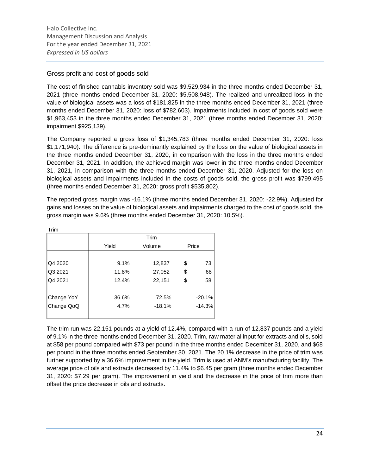### Gross profit and cost of goods sold

The cost of finished cannabis inventory sold was \$9,529,934 in the three months ended December 31, 2021 (three months ended December 31, 2020: \$5,508,948). The realized and unrealized loss in the value of biological assets was a loss of \$181,825 in the three months ended December 31, 2021 (three months ended December 31, 2020: loss of \$782,603). Impairments included in cost of goods sold were \$1,963,453 in the three months ended December 31, 2021 (three months ended December 31, 2020: impairment \$925,139).

The Company reported a gross loss of \$1,345,783 (three months ended December 31, 2020: loss \$1,171,940). The difference is pre-dominantly explained by the loss on the value of biological assets in the three months ended December 31, 2020, in comparison with the loss in the three months ended December 31, 2021. In addition, the achieved margin was lower in the three months ended December 31, 2021, in comparison with the three months ended December 31, 2020. Adjusted for the loss on biological assets and impairments included in the costs of goods sold, the gross profit was \$799,495 (three months ended December 31, 2020: gross profit \$535,802).

The reported gross margin was -16.1% (three months ended December 31, 2020: -22.9%). Adjusted for gains and losses on the value of biological assets and impairments charged to the cost of goods sold, the gross margin was 9.6% (three months ended December 31, 2020: 10.5%).

| Trim       |       |          |          |
|------------|-------|----------|----------|
|            |       | Trim     |          |
|            | Yield | Volume   | Price    |
|            |       |          |          |
| Q4 2020    | 9.1%  | 12,837   | \$<br>73 |
| Q3 2021    | 11.8% | 27,052   | \$<br>68 |
| Q4 2021    | 12.4% | 22,151   | \$<br>58 |
| Change YoY | 36.6% | 72.5%    | $-20.1%$ |
| Change QoQ | 4.7%  | $-18.1%$ | $-14.3%$ |
|            |       |          |          |

The trim run was 22,151 pounds at a yield of 12.4%, compared with a run of 12,837 pounds and a yield of 9.1% in the three months ended December 31, 2020. Trim, raw material input for extracts and oils, sold at \$58 per pound compared with \$73 per pound in the three months ended December 31, 2020, and \$68 per pound in the three months ended September 30, 2021. The 20.1% decrease in the price of trim was further supported by a 36.6% improvement in the yield. Trim is used at ANM's manufacturing facility. The average price of oils and extracts decreased by 11.4% to \$6.45 per gram (three months ended December 31, 2020: \$7.29 per gram). The improvement in yield and the decrease in the price of trim more than offset the price decrease in oils and extracts.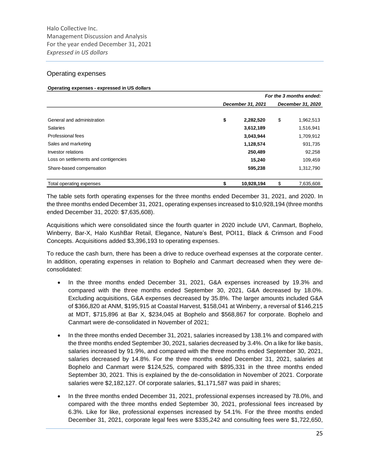### Operating expenses

#### **Operating expenses - expressed in US dollars**

|                                      |                   |    | For the 3 months ended: |
|--------------------------------------|-------------------|----|-------------------------|
|                                      | December 31, 2021 |    | December 31, 2020       |
| General and administration           | \$<br>2,282,520   | \$ | 1,962,513               |
| <b>Salaries</b>                      | 3,612,189         |    | 1,516,941               |
| Professional fees                    | 3,043,944         |    | 1,709,912               |
| Sales and marketing                  | 1,128,574         |    | 931,735                 |
| Investor relations                   | 250,489           |    | 92,258                  |
| Loss on settlements and contigencies | 15,240            |    | 109,459                 |
| Share-based compensation             | 595,238           |    | 1,312,790               |
| Total operating expenses             | 10,928,194        | S  | 7,635,608               |

The table sets forth operating expenses for the three months ended December 31, 2021, and 2020. In the three months ended December 31, 2021, operating expenses increased to \$10,928,194 (three months ended December 31, 2020: \$7,635,608).

Acquisitions which were consolidated since the fourth quarter in 2020 include UVI, Canmart, Bophelo, Winberry, Bar-X, Halo KushBar Retail, Elegance, Nature's Best, POI11, Black & Crimson and Food Concepts. Acquisitions added \$3,396,193 to operating expenses.

To reduce the cash burn, there has been a drive to reduce overhead expenses at the corporate center. In addition, operating expenses in relation to Bophelo and Canmart decreased when they were deconsolidated:

- In the three months ended December 31, 2021, G&A expenses increased by 19.3% and compared with the three months ended September 30, 2021, G&A decreased by 18.0%. Excluding acquisitions, G&A expenses decreased by 35.8%. The larger amounts included G&A of \$366,820 at ANM, \$195,915 at Coastal Harvest, \$158,041 at Winberry, a reversal of \$146,215 at MDT, \$715,896 at Bar X, \$234,045 at Bophelo and \$568,867 for corporate. Bophelo and Canmart were de-consolidated in November of 2021;
- In the three months ended December 31, 2021, salaries increased by 138.1% and compared with the three months ended September 30, 2021, salaries decreased by 3.4%. On a like for like basis, salaries increased by 91.9%, and compared with the three months ended September 30, 2021, salaries decreased by 14.8%. For the three months ended December 31, 2021, salaries at Bophelo and Canmart were \$124,525, compared with \$895,331 in the three months ended September 30, 2021. This is explained by the de-consolidation in November of 2021. Corporate salaries were \$2,182,127. Of corporate salaries, \$1,171,587 was paid in shares;
- In the three months ended December 31, 2021, professional expenses increased by 78.0%, and compared with the three months ended September 30, 2021, professional fees increased by 6.3%. Like for like, professional expenses increased by 54.1%. For the three months ended December 31, 2021, corporate legal fees were \$335,242 and consulting fees were \$1,722,650,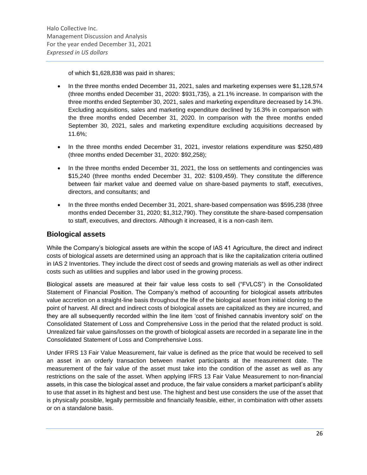of which \$1,628,838 was paid in shares;

- In the three months ended December 31, 2021, sales and marketing expenses were \$1,128,574 (three months ended December 31, 2020: \$931,735), a 21.1% increase. In comparison with the three months ended September 30, 2021, sales and marketing expenditure decreased by 14.3%. Excluding acquisitions, sales and marketing expenditure declined by 16.3% in comparison with the three months ended December 31, 2020. In comparison with the three months ended September 30, 2021, sales and marketing expenditure excluding acquisitions decreased by 11.6%;
- In the three months ended December 31, 2021, investor relations expenditure was \$250,489 (three months ended December 31, 2020: \$92,258);
- In the three months ended December 31, 2021, the loss on settlements and contingencies was \$15,240 (three months ended December 31, 202: \$109,459). They constitute the difference between fair market value and deemed value on share-based payments to staff, executives, directors, and consultants; and
- In the three months ended December 31, 2021, share-based compensation was \$595,238 (three months ended December 31, 2020; \$1,312,790). They constitute the share-based compensation to staff, executives, and directors. Although it increased, it is a non-cash item.

### **Biological assets**

While the Company's biological assets are within the scope of IAS 41 Agriculture, the direct and indirect costs of biological assets are determined using an approach that is like the capitalization criteria outlined in IAS 2 Inventories. They include the direct cost of seeds and growing materials as well as other indirect costs such as utilities and supplies and labor used in the growing process.

Biological assets are measured at their fair value less costs to sell ("FVLCS") in the Consolidated Statement of Financial Position. The Company's method of accounting for biological assets attributes value accretion on a straight-line basis throughout the life of the biological asset from initial cloning to the point of harvest. All direct and indirect costs of biological assets are capitalized as they are incurred, and they are all subsequently recorded within the line item 'cost of finished cannabis inventory sold' on the Consolidated Statement of Loss and Comprehensive Loss in the period that the related product is sold. Unrealized fair value gains/losses on the growth of biological assets are recorded in a separate line in the Consolidated Statement of Loss and Comprehensive Loss.

Under IFRS 13 Fair Value Measurement, fair value is defined as the price that would be received to sell an asset in an orderly transaction between market participants at the measurement date. The measurement of the fair value of the asset must take into the condition of the asset as well as any restrictions on the sale of the asset. When applying IFRS 13 Fair Value Measurement to non-financial assets, in this case the biological asset and produce, the fair value considers a market participant's ability to use that asset in its highest and best use. The highest and best use considers the use of the asset that is physically possible, legally permissible and financially feasible, either, in combination with other assets or on a standalone basis.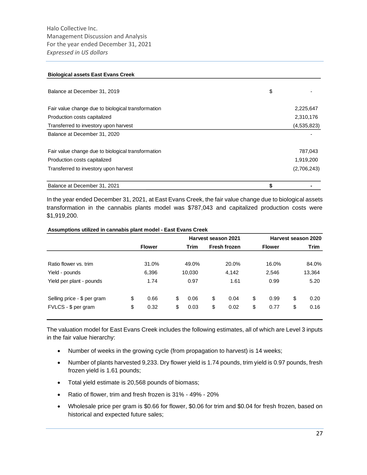#### **Biological assets East Evans Creek**

| Balance at December 31, 2019                       | \$          |
|----------------------------------------------------|-------------|
| Fair value change due to biological transformation | 2,225,647   |
| Production costs capitalized                       | 2,310,176   |
| Transferred to investory upon harvest              | (4,535,823) |
| Balance at December 31, 2020                       |             |
| Fair value change due to biological transformation | 787,043     |
| Production costs capitalized                       | 1,919,200   |
| Transferred to investory upon harvest              | (2,706,243) |
| Balance at December 31, 2021                       | \$          |

In the year ended December 31, 2021, at East Evans Creek, the fair value change due to biological assets transformation in the cannabis plants model was \$787,043 and capitalized production costs were \$1,919,200.

#### **Assumptions utilized in cannabis plant model - East Evans Creek**

|                                                    |          |               |          |              |          | Harvest season 2021 | Harvest season 2020 |                      |          |              |  |               |             |  |  |
|----------------------------------------------------|----------|---------------|----------|--------------|----------|---------------------|---------------------|----------------------|----------|--------------|--|---------------|-------------|--|--|
|                                                    |          | <b>Flower</b> |          |              |          |                     |                     | Trim<br>Fresh frozen |          |              |  | <b>Flower</b> | <b>Trim</b> |  |  |
| Ratio flower vs. trim                              |          | 31.0%         |          | 49.0%        |          | 20.0%               |                     | 16.0%                |          | 84.0%        |  |               |             |  |  |
| Yield - pounds                                     |          | 6,396         |          | 10,030       |          | 4,142               |                     | 2,546                |          | 13,364       |  |               |             |  |  |
| Yield per plant - pounds                           |          | 1.74          |          | 0.97         |          | 1.61                |                     | 0.99                 |          | 5.20         |  |               |             |  |  |
| Selling price - \$ per gram<br>FVLCS - \$ per gram | \$<br>\$ | 0.66<br>0.32  | \$<br>\$ | 0.06<br>0.03 | \$<br>\$ | 0.04<br>0.02        | \$<br>\$            | 0.99<br>0.77         | \$<br>\$ | 0.20<br>0.16 |  |               |             |  |  |
|                                                    |          |               |          |              |          |                     |                     |                      |          |              |  |               |             |  |  |

The valuation model for East Evans Creek includes the following estimates, all of which are Level 3 inputs in the fair value hierarchy:

- Number of weeks in the growing cycle (from propagation to harvest) is 14 weeks;
- Number of plants harvested 9,233. Dry flower yield is 1.74 pounds, trim yield is 0.97 pounds, fresh frozen yield is 1.61 pounds;
- Total yield estimate is 20,568 pounds of biomass;
- Ratio of flower, trim and fresh frozen is 31% 49% 20%
- Wholesale price per gram is \$0.66 for flower, \$0.06 for trim and \$0.04 for fresh frozen, based on historical and expected future sales;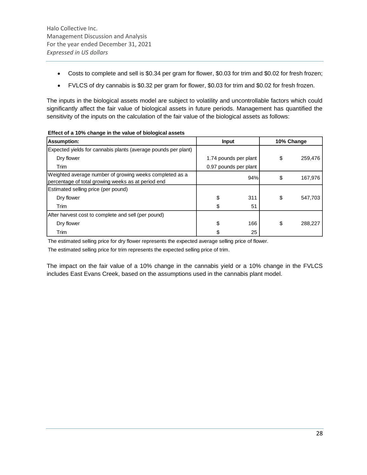- Costs to complete and sell is \$0.34 per gram for flower, \$0.03 for trim and \$0.02 for fresh frozen;
- FVLCS of dry cannabis is \$0.32 per gram for flower, \$0.03 for trim and \$0.02 for fresh frozen.

The inputs in the biological assets model are subject to volatility and uncontrollable factors which could significantly affect the fair value of biological assets in future periods. Management has quantified the sensitivity of the inputs on the calculation of the fair value of the biological assets as follows:

| <b>Assumption:</b>                                                                                            | <b>Input</b> |                       | 10% Change    |
|---------------------------------------------------------------------------------------------------------------|--------------|-----------------------|---------------|
| Expected yields for cannabis plants (average pounds per plant)                                                |              |                       |               |
| Dry flower                                                                                                    |              | 1.74 pounds per plant | \$<br>259,476 |
| Trim                                                                                                          |              | 0.97 pounds per plant |               |
| Weighted average number of growing weeks completed as a<br>percentage of total growing weeks as at period end |              | 94%                   | \$<br>167,976 |
| Estimated selling price (per pound)                                                                           |              |                       |               |
| Dry flower                                                                                                    | \$           | 311                   | \$<br>547,703 |
| Trim                                                                                                          | \$           | 51                    |               |
| After harvest cost to complete and sell (per pound)                                                           |              |                       |               |
| Dry flower                                                                                                    | \$           | 166                   | \$<br>288,227 |
| Trim                                                                                                          | S            | 25                    |               |

|  | Effect of a 10% change in the value of biological assets |  |  |  |
|--|----------------------------------------------------------|--|--|--|
|--|----------------------------------------------------------|--|--|--|

The estimated selling price for dry flower represents the expected average selling price of flower.

The estimated selling price for trim represents the expected selling price of trim.

The impact on the fair value of a 10% change in the cannabis yield or a 10% change in the FVLCS includes East Evans Creek, based on the assumptions used in the cannabis plant model.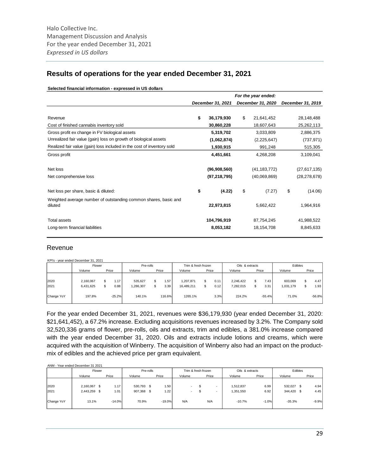### **Results of operations for the year ended December 31, 2021**

|                                                                            |                   | For the year ended: |                   |
|----------------------------------------------------------------------------|-------------------|---------------------|-------------------|
|                                                                            | December 31, 2021 | December 31, 2020   | December 31, 2019 |
|                                                                            |                   |                     |                   |
| Revenue                                                                    | \$<br>36,179,930  | \$<br>21,641,452    | 28,148,488        |
| Cost of finished cannabis inventory sold                                   | 30,860,228        | 18,607,643          | 25,262,113        |
| Gross profit ex change in FV biological assets                             | 5,319,702         | 3,033,809           | 2,886,375         |
| Unrealized fair value (gain) loss on growth of biological assets           | (1,062,874)       | (2,225,647)         | (737, 971)        |
| Realized fair value (gain) loss included in the cost of inventory sold     | 1,930,915         | 991,248             | 515,305           |
| Gross profit                                                               | 4,451,661         | 4,268,208           | 3,109,041         |
| Net loss                                                                   | (96,908,560)      | (41, 183, 772)      | (27,617,135)      |
| Net comprehensive loss                                                     | (97, 218, 795)    | (40,069,869)        | (28, 278, 678)    |
| Net loss per share, basic & diluted:                                       | \$<br>(4.22)      | \$<br>(7.27)        | \$<br>(14.06)     |
| Weighted average number of outstanding common shares, basic and<br>diluted | 22,973,815        | 5,662,422           | 1,964,916         |
| Total assets                                                               | 104,796,919       | 87,754,245          | 41,988,522        |
| Long-term financial liabilities                                            | 8,053,182         | 18,154,708          | 8,845,633         |

#### **Selected financial information - expressed in US dollars**

### Revenue

KPI's - year ended December 31, 2021

|            | Flower    |           | Pre-rolls |        | Trim & fresh frozen |       | Oils & extracts |          | Edibles   |          |
|------------|-----------|-----------|-----------|--------|---------------------|-------|-----------------|----------|-----------|----------|
|            | Volume    | Price     | Volume    | Price  | Volume              | Price | Volume          | Price    | Volume    | Price    |
|            |           |           |           |        |                     |       |                 |          |           |          |
| 2020       | 2,160,067 | .17       | 535.627   | .57    | 1.207.871           | 0.11  | 2,246,422       | 7.43     | 603,069   | 4.47     |
| 2021       | 6,431,625 | 0.88<br>S | 1,286,307 | 3.39   | 16,489,211          | 0.12  | 7,282,015       | 3.31     | 1,031,179 | 1.93     |
| Change YoY | 197.8%    | $-25.2%$  | 140.1%    | 116.6% | 1265.1%             | 3.3%  | 224.2%          | $-55.4%$ | 71.0%     | $-56.8%$ |

For the year ended December 31, 2021, revenues were \$36,179,930 (year ended December 31, 2020: \$21,641,452), a 67.2% increase. Excluding acquisitions revenues increased by 3.2%. The Company sold 32,520,336 grams of flower, pre-rolls, oils and extracts, trim and edibles, a 381.0% increase compared with the year ended December 31, 2020. Oils and extracts include lotions and creams, which were acquired with the acquisition of Winberry. The acquisition of Winberry also had an impact on the productmix of edibles and the achieved price per gram equivalent.

|              |          |         | Pre-rolls |            | Trim & fresh frozen | Oils & extracts |       | Edibles  |                                     |
|--------------|----------|---------|-----------|------------|---------------------|-----------------|-------|----------|-------------------------------------|
| Volume       | Price    | Volume  | Price     | Volume     | Price               | Volume          | Price | Volume   | Price                               |
|              |          |         |           |            |                     |                 |       |          |                                     |
| 2,160,067 \$ | 1.17     |         |           |            | S                   | 1,512,837       | 6.99  |          | 4.94                                |
| 2,443,259 \$ | 1.01     | 907,368 | 1.22      | $\sim$     | S                   | 1,351,550       | 6.92  |          | 4.45                                |
|              |          |         |           |            |                     |                 |       |          |                                     |
| 13.1%        | $-14.0%$ | 70.9%   |           | N/A        | N/A                 | $-10.7%$        |       | $-35.3%$ | $-9.9%$                             |
|              |          |         |           | 530,793 \$ | 1.50<br>$-19.0%$    |                 |       |          | 532,027 \$<br>344,420 \$<br>$-1.0%$ |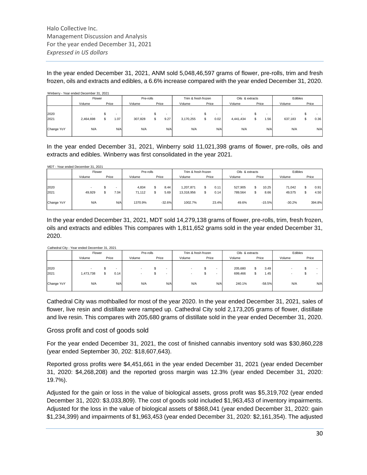In the year ended December 31, 2021, ANM sold 5,048,46,597 grams of flower, pre-rolls, trim and fresh frozen, oils and extracts and edibles, a 6.6% increase compared with the year ended December 31, 2020.

|            | Winberry - Year ended December 31, 2021 |       |                          |           |       |                     |       |                          |                 |    |                          |         |       |
|------------|-----------------------------------------|-------|--------------------------|-----------|-------|---------------------|-------|--------------------------|-----------------|----|--------------------------|---------|-------|
|            | Flower                                  |       |                          | Pre-rolls |       | Trim & fresh frozen |       |                          | Oils & extracts |    |                          | Edibles |       |
|            | Volume                                  | Price |                          | Volume    | Price | Volume              | Price |                          | Volume          |    | Price                    | Volume  | Price |
|            |                                         |       |                          |           |       |                     |       |                          |                 |    |                          |         |       |
| 2020       |                                         |       | $\overline{\phantom{a}}$ |           |       |                     |       | $\overline{\phantom{a}}$ |                 |    | $\overline{\phantom{a}}$ |         |       |
| 2021       | 2,464,698                               |       | 1.07                     | 307,828   | 9.27  | 3,170,255           |       | 0.02                     | 4,441,434       | S. | i .56                    | 637,183 | 0.36  |
|            |                                         |       |                          |           |       |                     |       |                          |                 |    |                          |         |       |
| Change YoY | N/A                                     |       | N/A                      | N/A       | N/A   | N/A                 |       | N/A                      | N/A             |    | N/A                      | N/A     | N/A   |
|            |                                         |       |                          |           |       |                     |       |                          |                 |    |                          |         |       |

In the year ended December 31, 2021, Winberry sold 11,021,398 grams of flower, pre-rolls, oils and extracts and edibles. Winberry was first consolidated in the year 2021.

MDT - Year ended December 31, 2021

|            | Flower |       |      | Pre-rolls |          | Trim & fresh frozen |       | Oils & extracts |          | Edibles  |        |
|------------|--------|-------|------|-----------|----------|---------------------|-------|-----------------|----------|----------|--------|
|            | Volume | Price |      | Volume    | Price    | Volume              | Price | Volume          | Price    | Volume   | Price  |
|            |        |       |      |           |          |                     |       |                 |          |          |        |
| 2020       |        |       |      | 4,834     | 8.44     | 1,207,871           | 0.11  | 527,905         | 10.25    | 71,042   | 0.91   |
| 2021       | 49,929 |       | 7.04 | 71,112    | 5.69     | 13,318,956          | 0.14  | 789,564         | 8.66     | 49,575   | 4.50   |
| Change YoY | N/A    |       | N/A  | 1370.9%   | $-32.6%$ | 1002.7%             | 23.4% | 49.6%           | $-15.5%$ | $-30.2%$ | 394.8% |

In the year ended December 31, 2021, MDT sold 14,279,138 grams of flower, pre-rolls, trim, fresh frozen, oils and extracts and edibles This compares with 1,811,652 grams sold in the year ended December 31, 2020.

#### Cathedral City - Year ended December 31, 2021

|            | Flower    |       |      | Pre-rolls |       |                          | Trim & fresh frozen |       | Oils & extracts |    |          |        | Edibles |       |     |
|------------|-----------|-------|------|-----------|-------|--------------------------|---------------------|-------|-----------------|----|----------|--------|---------|-------|-----|
|            | Volume    | Price |      | Volume    | Price |                          | Volume              | Price | Volume          |    | Price    | Volume |         | Price |     |
|            |           |       |      |           |       |                          |                     |       |                 |    |          |        |         |       |     |
| 2020       |           |       |      |           |       | $\overline{\phantom{a}}$ |                     |       | 205,680         | £. | 3.49     |        |         |       |     |
| 2021       | 1,473,738 |       | 0.14 |           |       | $\overline{\phantom{a}}$ |                     |       | 699,466         |    | 1.45     |        |         |       |     |
| Change YoY | N/A       |       | N/A  | N/A       |       | N/A                      | N/A                 | N/A   | 240.1%          |    | $-58.5%$ |        | N/A     |       | N/A |
|            |           |       |      |           |       |                          |                     |       |                 |    |          |        |         |       |     |

Cathedral City was mothballed for most of the year 2020. In the year ended December 31, 2021, sales of flower, live resin and distillate were ramped up. Cathedral City sold 2,173,205 grams of flower, distillate and live resin. This compares with 205,680 grams of distillate sold in the year ended December 31, 2020.

#### Gross profit and cost of goods sold

For the year ended December 31, 2021, the cost of finished cannabis inventory sold was \$30,860,228 (year ended September 30, 202: \$18,607,643).

Reported gross profits were \$4,451,661 in the year ended December 31, 2021 (year ended December 31, 2020: \$4,268,208) and the reported gross margin was 12.3% (year ended December 31, 2020: 19.7%).

Adjusted for the gain or loss in the value of biological assets, gross profit was \$5,319,702 (year ended December 31, 2020: \$3,033,809). The cost of goods sold included \$1,963,453 of inventory impairments. Adjusted for the loss in the value of biological assets of \$868,041 (year ended December 31, 2020: gain \$1,234,399) and impairments of \$1,963,453 (year ended December 31, 2020: \$2,161,354). The adjusted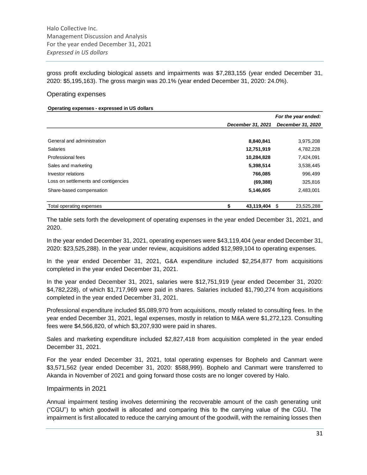gross profit excluding biological assets and impairments was \$7,283,155 (year ended December 31, 2020: \$5,195,163). The gross margin was 20.1% (year ended December 31, 2020: 24.0%).

#### Operating expenses

#### **Operating expenses - expressed in US dollars**

|                                      |                   | For the year ended: |
|--------------------------------------|-------------------|---------------------|
|                                      | December 31, 2021 | December 31, 2020   |
|                                      |                   |                     |
| General and administration           | 8,840,841         | 3,975,208           |
| <b>Salaries</b>                      | 12,751,919        | 4,782,228           |
| Professional fees                    | 10,284,828        | 7,424,091           |
| Sales and marketing                  | 5,398,514         | 3,538,445           |
| Investor relations                   | 766,085           | 996,499             |
| Loss on settlements and contigencies | (69, 388)         | 325,816             |
| Share-based compensation             | 5,146,605         | 2,483,001           |
| Total operating expenses             | 43,119,404 \$     | 23,525,288          |

The table sets forth the development of operating expenses in the year ended December 31, 2021, and 2020.

In the year ended December 31, 2021, operating expenses were \$43,119,404 (year ended December 31, 2020: \$23,525,288). In the year under review, acquisitions added \$12,989,104 to operating expenses.

In the year ended December 31, 2021, G&A expenditure included \$2,254,877 from acquisitions completed in the year ended December 31, 2021.

In the year ended December 31, 2021, salaries were \$12,751,919 (year ended December 31, 2020: \$4,782,228), of which \$1,717,969 were paid in shares. Salaries included \$1,790,274 from acquisitions completed in the year ended December 31, 2021.

Professional expenditure included \$5,089,970 from acquisitions, mostly related to consulting fees. In the year ended December 31, 2021, legal expenses, mostly in relation to M&A were \$1,272,123. Consulting fees were \$4,566,820, of which \$3,207,930 were paid in shares.

Sales and marketing expenditure included \$2,827,418 from acquisition completed in the year ended December 31, 2021.

For the year ended December 31, 2021, total operating expenses for Bophelo and Canmart were \$3,571,562 (year ended December 31, 2020: \$588,999). Bophelo and Canmart were transferred to Akanda in November of 2021 and going forward those costs are no longer covered by Halo.

#### Impairments in 2021

Annual impairment testing involves determining the recoverable amount of the cash generating unit ("CGU") to which goodwill is allocated and comparing this to the carrying value of the CGU. The impairment is first allocated to reduce the carrying amount of the goodwill, with the remaining losses then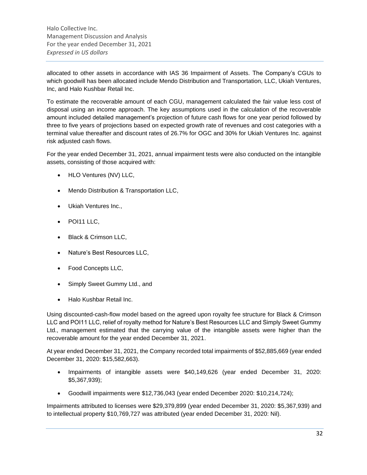allocated to other assets in accordance with IAS 36 Impairment of Assets. The Company's CGUs to which goodwill has been allocated include Mendo Distribution and Transportation, LLC, Ukiah Ventures, Inc, and Halo Kushbar Retail Inc.

To estimate the recoverable amount of each CGU, management calculated the fair value less cost of disposal using an income approach. The key assumptions used in the calculation of the recoverable amount included detailed management's projection of future cash flows for one year period followed by three to five years of projections based on expected growth rate of revenues and cost categories with a terminal value thereafter and discount rates of 26.7% for OGC and 30% for Ukiah Ventures Inc. against risk adjusted cash flows.

For the year ended December 31, 2021, annual impairment tests were also conducted on the intangible assets, consisting of those acquired with:

- HLO Ventures (NV) LLC,
- Mendo Distribution & Transportation LLC,
- Ukiah Ventures Inc.,
- POI11 LLC,
- Black & Crimson LLC,
- Nature's Best Resources LLC,
- Food Concepts LLC,
- Simply Sweet Gummy Ltd., and
- Halo Kushbar Retail Inc.

Using discounted-cash-flow model based on the agreed upon royalty fee structure for Black & Crimson LLC and POI11 LLC, relief of royalty method for Nature's Best Resources LLC and Simply Sweet Gummy Ltd., management estimated that the carrying value of the intangible assets were higher than the recoverable amount for the year ended December 31, 2021.

At year ended December 31, 2021, the Company recorded total impairments of \$52,885,669 (year ended December 31, 2020: \$15,582,663).

- Impairments of intangible assets were \$40,149,626 (year ended December 31, 2020: \$5,367,939);
- Goodwill impairments were \$12,736,043 (year ended December 2020: \$10,214,724);

Impairments attributed to licenses were \$29,379,899 (year ended December 31, 2020: \$5,367,939) and to intellectual property \$10,769,727 was attributed (year ended December 31, 2020: Nil).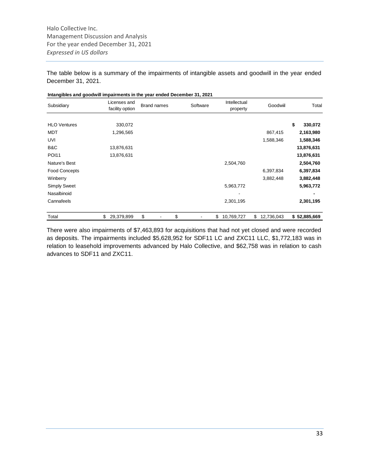The table below is a summary of the impairments of intangible assets and goodwill in the year ended December 31, 2021.

| Intangibles and goodwill impairments in the year ended December 31, 2021 |                                 |             |          |                          |                  |               |
|--------------------------------------------------------------------------|---------------------------------|-------------|----------|--------------------------|------------------|---------------|
| Subsidiary                                                               | Licenses and<br>facility option | Brand names | Software | Intellectual<br>property | Goodwiil         | Total         |
| <b>HLO Ventures</b>                                                      | 330,072                         |             |          |                          |                  | \$<br>330,072 |
| <b>MDT</b>                                                               | 1,296,565                       |             |          |                          | 867,415          | 2,163,980     |
| UVI                                                                      |                                 |             |          |                          | 1,588,346        | 1,588,346     |
| B&C                                                                      | 13,876,631                      |             |          |                          |                  | 13,876,631    |
| <b>POI11</b>                                                             | 13,876,631                      |             |          |                          |                  | 13,876,631    |
| Nature's Best                                                            |                                 |             |          | 2,504,760                |                  | 2,504,760     |
| <b>Food Concepts</b>                                                     |                                 |             |          |                          | 6,397,834        | 6,397,834     |
| Winberry                                                                 |                                 |             |          |                          | 3,882,448        | 3,882,448     |
| <b>Simply Sweet</b>                                                      |                                 |             |          | 5,963,772                |                  | 5,963,772     |
| Nasalbinoid                                                              |                                 |             |          |                          |                  |               |
| Cannafeels                                                               |                                 |             |          | 2,301,195                |                  | 2,301,195     |
| Total                                                                    | \$<br>29,379,899                | \$          | \$       | \$<br>10,769,727         | \$<br>12,736,043 | \$52,885,669  |

There were also impairments of \$7,463,893 for acquisitions that had not yet closed and were recorded as deposits. The impairments included \$5,628,952 for SDF11 LC and ZXC11 LLC, \$1,772,183 was in relation to leasehold improvements advanced by Halo Collective, and \$62,758 was in relation to cash advances to SDF11 and ZXC11.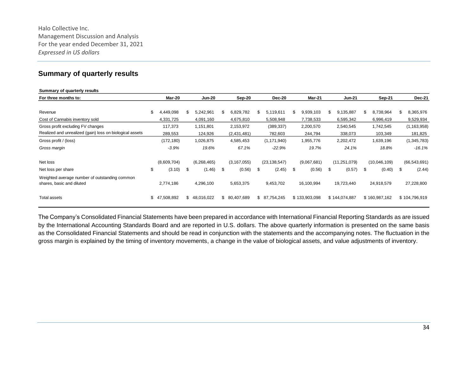### **Summary of quarterly results**

| Summary of quarterly results                                               |                  |      |               |                 |    |                |    |               |    |                |    |               |     |                |
|----------------------------------------------------------------------------|------------------|------|---------------|-----------------|----|----------------|----|---------------|----|----------------|----|---------------|-----|----------------|
| For three months to:                                                       | Mar-20           |      | <b>Jun-20</b> | Sep-20          |    | <b>Dec-20</b>  |    | <b>Mar-21</b> |    | <b>Jun-21</b>  |    | Sep-21        |     | <b>Dec-21</b>  |
|                                                                            |                  |      |               |                 |    |                |    |               |    |                |    |               |     |                |
| Revenue                                                                    | \$<br>4,449,098  | \$   | 5,242,961     | \$<br>6,829,782 | \$ | 5,119,611      | S  | 9,939,103     | \$ | 9,135,887      | S  | 8,738,964     | \$. | 8,365,976      |
| Cost of Cannabis inventory sold                                            | 4,331,725        |      | 4,091,160     | 4,675,810       |    | 5,508,948      |    | 7,738,533     |    | 6,595,342      |    | 6,996,419     |     | 9,529,934      |
| Gross profit excluding FV changes                                          | 117,373          |      | 1,151,801     | 2,153,972       |    | (389, 337)     |    | 2,200,570     |    | 2,540,545      |    | 1,742,545     |     | (1, 163, 958)  |
| Realized and unrealized (gain) loss on biological assets                   | 289,553          |      | 124,926       | (2,431,481)     |    | 782,603        |    | 244,794       |    | 338,073        |    | 103,349       |     | 181,825        |
| Gross profit / (loss)                                                      | (172, 180)       |      | 1,026,875     | 4,585,453       |    | (1, 171, 940)  |    | 1,955,776     |    | 2,202,472      |    | 1,639,196     |     | (1,345,783)    |
| Gross margin                                                               | $-3.9%$          |      | 19.6%         | 67.1%           |    | $-22.9%$       |    | 19.7%         |    | 24.1%          |    | 18.8%         |     | $-16.1%$       |
| Net loss                                                                   | (8,609,704)      |      | (6, 268, 465) | (3, 167, 055)   |    | (23, 138, 547) |    | (9,067,681)   |    | (11, 251, 079) |    | (10,046,109)  |     | (66, 543, 691) |
| Net loss per share                                                         | \$<br>(3.10)     | - \$ | (1.46)        | \$<br>(0.56)    | S  | (2.45)         | \$ | (0.56)        | S  | (0.57)         | \$ | (0.40)        | \$  | (2.44)         |
| Weighted average number of outstanding common<br>shares, basic and diluted | 2,774,186        |      | 4,296,100     | 5,653,375       |    | 9,453,702      |    | 16,100,994    |    | 19,723,440     |    | 24,918,579    |     | 27,228,800     |
| <b>Total assets</b>                                                        | \$<br>47,508,892 |      | \$48,016,022  | \$ 80,407,689   |    | \$ 87,754,245  |    | \$133,903,098 |    | \$144,074,887  |    | \$160,987,162 |     | \$104,796,919  |

The Company's Consolidated Financial Statements have been prepared in accordance with International Financial Reporting Standards as are issued by the International Accounting Standards Board and are reported in U.S. dollars. The above quarterly information is presented on the same basis as the Consolidated Financial Statements and should be read in conjunction with the statements and the accompanying notes. The fluctuation in the gross margin is explained by the timing of inventory movements, a change in the value of biological assets, and value adjustments of inventory.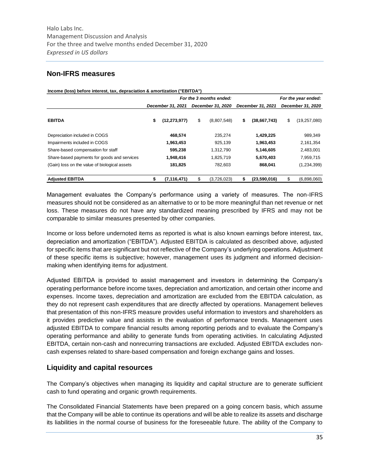### **Non-IFRS measures**

| Income (loss) before interest, tax, depraciation & amortization ("EBITDA") |                   |                         |                    |                      |
|----------------------------------------------------------------------------|-------------------|-------------------------|--------------------|----------------------|
|                                                                            |                   | For the 3 months ended: |                    | For the year ended:  |
|                                                                            | December 31, 2021 | December 31, 2020       | December 31, 2021  | December 31, 2020    |
| <b>EBITDA</b>                                                              | (12, 273, 977)    | \$<br>(8,807,548)       | \$<br>(38,667,743) | \$<br>(19, 257, 080) |
| Depreciation included in COGS                                              | 468,574           | 235,274                 | 1,429,225          | 989,349              |
| Impairments included in COGS                                               | 1,963,453         | 925.139                 | 1,963,453          | 2,161,354            |
| Share-based compensation for staff                                         | 595.238           | 1,312,790               | 5,146,605          | 2,483,001            |
| Share-based payments for goods and services                                | 1,948,416         | 1,825,719               | 5,670,403          | 7,959,715            |
| (Gain) loss on the value of biological assets                              | 181,825           | 782,603                 | 868,041            | (1,234,399)          |
| <b>Adjusted EBITDA</b>                                                     | (7, 116, 471)     | (3,726,023)             | (23,590,016)       | (6,898,060)          |

Management evaluates the Company's performance using a variety of measures. The non-IFRS measures should not be considered as an alternative to or to be more meaningful than net revenue or net loss. These measures do not have any standardized meaning prescribed by IFRS and may not be comparable to similar measures presented by other companies.

Income or loss before undernoted items as reported is what is also known earnings before interest, tax, depreciation and amortization ("EBITDA"). Adjusted EBITDA is calculated as described above, adjusted for specific items that are significant but not reflective of the Company's underlying operations. Adjustment of these specific items is subjective; however, management uses its judgment and informed decisionmaking when identifying items for adjustment.

Adjusted EBITDA is provided to assist management and investors in determining the Company's operating performance before income taxes, depreciation and amortization, and certain other income and expenses. Income taxes, depreciation and amortization are excluded from the EBITDA calculation, as they do not represent cash expenditures that are directly affected by operations. Management believes that presentation of this non-IFRS measure provides useful information to investors and shareholders as it provides predictive value and assists in the evaluation of performance trends. Management uses adjusted EBITDA to compare financial results among reporting periods and to evaluate the Company's operating performance and ability to generate funds from operating activities. In calculating Adjusted EBITDA, certain non-cash and nonrecurring transactions are excluded. Adjusted EBITDA excludes noncash expenses related to share-based compensation and foreign exchange gains and losses.

### **Liquidity and capital resources**

The Company's objectives when managing its liquidity and capital structure are to generate sufficient cash to fund operating and organic growth requirements.

The Consolidated Financial Statements have been prepared on a going concern basis, which assume that the Company will be able to continue its operations and will be able to realize its assets and discharge its liabilities in the normal course of business for the foreseeable future. The ability of the Company to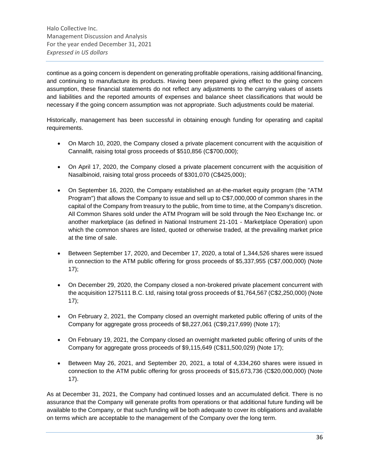continue as a going concern is dependent on generating profitable operations, raising additional financing, and continuing to manufacture its products. Having been prepared giving effect to the going concern assumption, these financial statements do not reflect any adjustments to the carrying values of assets and liabilities and the reported amounts of expenses and balance sheet classifications that would be necessary if the going concern assumption was not appropriate. Such adjustments could be material.

Historically, management has been successful in obtaining enough funding for operating and capital requirements.

- On March 10, 2020, the Company closed a private placement concurrent with the acquisition of Cannalift, raising total gross proceeds of \$510,856 (C\$700,000);
- On April 17, 2020, the Company closed a private placement concurrent with the acquisition of Nasalbinoid, raising total gross proceeds of \$301,070 (C\$425,000);
- On September 16, 2020, the Company established an at-the-market equity program (the "ATM Program") that allows the Company to issue and sell up to C\$7,000,000 of common shares in the capital of the Company from treasury to the public, from time to time, at the Company's discretion. All Common Shares sold under the ATM Program will be sold through the Neo Exchange Inc. or another marketplace (as defined in National Instrument 21-101 - Marketplace Operation) upon which the common shares are listed, quoted or otherwise traded, at the prevailing market price at the time of sale.
- Between September 17, 2020, and December 17, 2020, a total of 1,344,526 shares were issued in connection to the ATM public offering for gross proceeds of \$5,337,955 (C\$7,000,000) (Note 17);
- On December 29, 2020, the Company closed a non-brokered private placement concurrent with the acquisition 1275111 B.C. Ltd, raising total gross proceeds of \$1,764,567 (C\$2,250,000) (Note 17);
- On February 2, 2021, the Company closed an overnight marketed public offering of units of the Company for aggregate gross proceeds of \$8,227,061 (C\$9,217,699) (Note 17);
- On February 19, 2021, the Company closed an overnight marketed public offering of units of the Company for aggregate gross proceeds of \$9,115,649 (C\$11,500,029) (Note 17);
- Between May 26, 2021, and September 20, 2021, a total of 4,334,260 shares were issued in connection to the ATM public offering for gross proceeds of \$15,673,736 (C\$20,000,000) (Note 17).

As at December 31, 2021, the Company had continued losses and an accumulated deficit. There is no assurance that the Company will generate profits from operations or that additional future funding will be available to the Company, or that such funding will be both adequate to cover its obligations and available on terms which are acceptable to the management of the Company over the long term.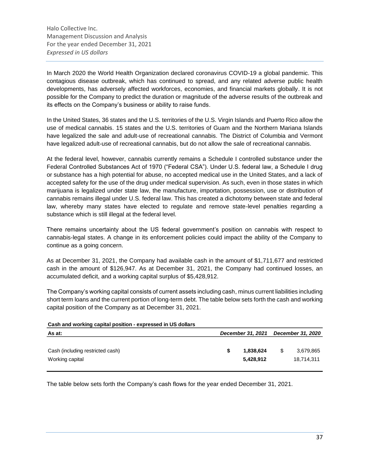In March 2020 the World Health Organization declared coronavirus COVID-19 a global pandemic. This contagious disease outbreak, which has continued to spread, and any related adverse public health developments, has adversely affected workforces, economies, and financial markets globally. It is not possible for the Company to predict the duration or magnitude of the adverse results of the outbreak and its effects on the Company's business or ability to raise funds.

In the United States, 36 states and the U.S. territories of the U.S. Virgin Islands and Puerto Rico allow the use of medical cannabis. 15 states and the U.S. territories of Guam and the Northern Mariana Islands have legalized the sale and adult-use of recreational cannabis. The District of Columbia and Vermont have legalized adult-use of recreational cannabis, but do not allow the sale of recreational cannabis.

At the federal level, however, cannabis currently remains a Schedule I controlled substance under the Federal Controlled Substances Act of 1970 ("Federal CSA"). Under U.S. federal law, a Schedule I drug or substance has a high potential for abuse, no accepted medical use in the United States, and a lack of accepted safety for the use of the drug under medical supervision. As such, even in those states in which marijuana is legalized under state law, the manufacture, importation, possession, use or distribution of cannabis remains illegal under U.S. federal law. This has created a dichotomy between state and federal law, whereby many states have elected to regulate and remove state-level penalties regarding a substance which is still illegal at the federal level.

There remains uncertainty about the US federal government's position on cannabis with respect to cannabis-legal states. A change in its enforcement policies could impact the ability of the Company to continue as a going concern.

As at December 31, 2021, the Company had available cash in the amount of \$1,711,677 and restricted cash in the amount of \$126,947. As at December 31, 2021, the Company had continued losses, an accumulated deficit, and a working capital surplus of \$5,428,912.

The Company's working capital consists of current assets including cash, minus current liabilities including short term loans and the current portion of long-term debt. The table below sets forth the cash and working capital position of the Company as at December 31, 2021.

| Cash and working capital position - expressed in US dollars |                        |   |                         |  |  |  |  |  |
|-------------------------------------------------------------|------------------------|---|-------------------------|--|--|--|--|--|
| December 31, 2021                                           |                        |   |                         |  |  |  |  |  |
|                                                             | 1,838,624<br>5,428,912 | S | 3.679.865<br>18,714,311 |  |  |  |  |  |
|                                                             |                        |   | December 31, 2020       |  |  |  |  |  |

The table below sets forth the Company's cash flows for the year ended December 31, 2021.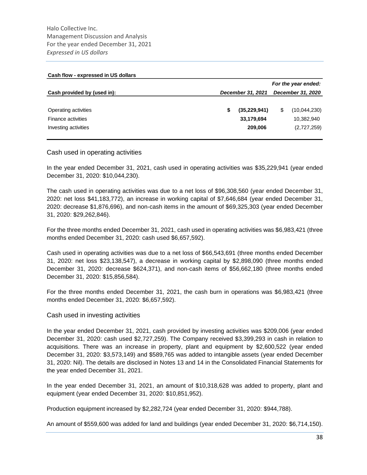| Cash flow - expressed in US dollars |                     |                |   |                   |  |  |  |  |
|-------------------------------------|---------------------|----------------|---|-------------------|--|--|--|--|
|                                     | For the year ended: |                |   |                   |  |  |  |  |
| Cash provided by (used in):         | December 31, 2021   |                |   | December 31, 2020 |  |  |  |  |
|                                     |                     |                |   |                   |  |  |  |  |
| Operating activities                |                     | (35, 229, 941) | S | (10,044,230)      |  |  |  |  |
| <b>Finance activities</b>           |                     | 33,179,694     |   | 10,382,940        |  |  |  |  |
| Investing activities                |                     | 209,006        |   | (2,727,259)       |  |  |  |  |
|                                     |                     |                |   |                   |  |  |  |  |

### Cash used in operating activities

In the year ended December 31, 2021, cash used in operating activities was \$35,229,941 (year ended December 31, 2020: \$10,044,230).

The cash used in operating activities was due to a net loss of \$96,308,560 (year ended December 31, 2020: net loss \$41,183,772), an increase in working capital of \$7,646,684 (year ended December 31, 2020: decrease \$1,876,696), and non-cash items in the amount of \$69,325,303 (year ended December 31, 2020: \$29,262,846).

For the three months ended December 31, 2021, cash used in operating activities was \$6,983,421 (three months ended December 31, 2020: cash used \$6,657,592).

Cash used in operating activities was due to a net loss of \$66,543,691 (three months ended December 31, 2020: net loss \$23,138,547), a decrease in working capital by \$2,898,090 (three months ended December 31, 2020: decrease \$624,371), and non-cash items of \$56,662,180 (three months ended December 31, 2020: \$15,856,584).

For the three months ended December 31, 2021, the cash burn in operations was \$6,983,421 (three months ended December 31, 2020: \$6,657,592).

#### Cash used in investing activities

In the year ended December 31, 2021, cash provided by investing activities was \$209,006 (year ended December 31, 2020: cash used \$2,727,259). The Company received \$3,399,293 in cash in relation to acquisitions. There was an increase in property, plant and equipment by \$2,600,522 (year ended December 31, 2020: \$3,573,149) and \$589,765 was added to intangible assets (year ended December 31, 2020: Nil). The details are disclosed in Notes 13 and 14 in the Consolidated Financial Statements for the year ended December 31, 2021.

In the year ended December 31, 2021, an amount of \$10,318,628 was added to property, plant and equipment (year ended December 31, 2020: \$10,851,952).

Production equipment increased by \$2,282,724 (year ended December 31, 2020: \$944,788).

An amount of \$559,600 was added for land and buildings (year ended December 31, 2020: \$6,714,150).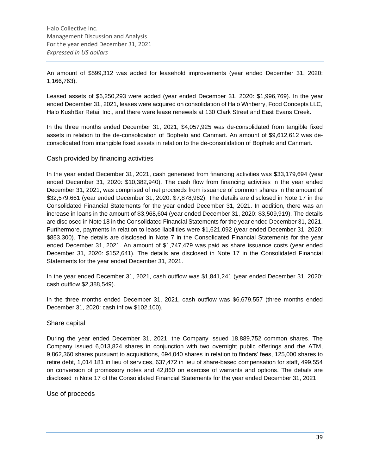An amount of \$599,312 was added for leasehold improvements (year ended December 31, 2020: 1,166,763).

Leased assets of \$6,250,293 were added (year ended December 31, 2020: \$1,996,769). In the year ended December 31, 2021, leases were acquired on consolidation of Halo Winberry, Food Concepts LLC, Halo KushBar Retail Inc., and there were lease renewals at 130 Clark Street and East Evans Creek.

In the three months ended December 31, 2021, \$4,057,925 was de-consolidated from tangible fixed assets in relation to the de-consolidation of Bophelo and Canmart. An amount of \$9,612,612 was deconsolidated from intangible fixed assets in relation to the de-consolidation of Bophelo and Canmart.

### Cash provided by financing activities

In the year ended December 31, 2021, cash generated from financing activities was \$33,179,694 (year ended December 31, 2020: \$10,382,940). The cash flow from financing activities in the year ended December 31, 2021, was comprised of net proceeds from issuance of common shares in the amount of \$32,579,661 (year ended December 31, 2020: \$7,878,962). The details are disclosed in Note 17 in the Consolidated Financial Statements for the year ended December 31, 2021. In addition, there was an increase in loans in the amount of \$3,968,604 (year ended December 31, 2020: \$3,509,919). The details are disclosed in Note 18 in the Consolidated Financial Statements for the year ended December 31, 2021. Furthermore, payments in relation to lease liabilities were \$1,621,092 (year ended December 31, 2020; \$853,300). The details are disclosed in Note 7 in the Consolidated Financial Statements for the year ended December 31, 2021. An amount of \$1,747,479 was paid as share issuance costs (year ended December 31, 2020: \$152,641). The details are disclosed in Note 17 in the Consolidated Financial Statements for the year ended December 31, 2021.

In the year ended December 31, 2021, cash outflow was \$1,841,241 (year ended December 31, 2020: cash outflow \$2,388,549).

In the three months ended December 31, 2021, cash outflow was \$6,679,557 (three months ended December 31, 2020: cash inflow \$102,100).

### Share capital

During the year ended December 31, 2021, the Company issued 18,889,752 common shares. The Company issued 6,013,824 shares in conjunction with two overnight public offerings and the ATM, 9,862,360 shares pursuant to acquisitions, 694,040 shares in relation to finders' fees, 125,000 shares to retire debt, 1,014,181 in lieu of services, 637,472 in lieu of share-based compensation for staff, 499,554 on conversion of promissory notes and 42,860 on exercise of warrants and options. The details are disclosed in Note 17 of the Consolidated Financial Statements for the year ended December 31, 2021.

Use of proceeds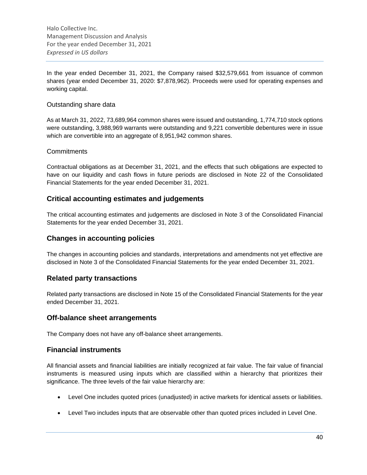In the year ended December 31, 2021, the Company raised \$32,579,661 from issuance of common shares (year ended December 31, 2020: \$7,878,962). Proceeds were used for operating expenses and working capital.

### Outstanding share data

As at March 31, 2022, 73,689,964 common shares were issued and outstanding, 1,774,710 stock options were outstanding, 3,988,969 warrants were outstanding and 9,221 convertible debentures were in issue which are convertible into an aggregate of 8,951,942 common shares.

### **Commitments**

Contractual obligations as at December 31, 2021, and the effects that such obligations are expected to have on our liquidity and cash flows in future periods are disclosed in Note 22 of the Consolidated Financial Statements for the year ended December 31, 2021.

### **Critical accounting estimates and judgements**

The critical accounting estimates and judgements are disclosed in Note 3 of the Consolidated Financial Statements for the year ended December 31, 2021.

### **Changes in accounting policies**

The changes in accounting policies and standards, interpretations and amendments not yet effective are disclosed in Note 3 of the Consolidated Financial Statements for the year ended December 31, 2021.

### **Related party transactions**

Related party transactions are disclosed in Note 15 of the Consolidated Financial Statements for the year ended December 31, 2021.

### **Off-balance sheet arrangements**

The Company does not have any off-balance sheet arrangements.

### **Financial instruments**

All financial assets and financial liabilities are initially recognized at fair value. The fair value of financial instruments is measured using inputs which are classified within a hierarchy that prioritizes their significance. The three levels of the fair value hierarchy are:

- Level One includes quoted prices (unadjusted) in active markets for identical assets or liabilities.
- Level Two includes inputs that are observable other than quoted prices included in Level One.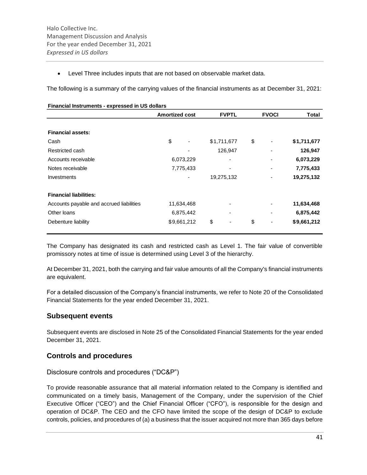• Level Three includes inputs that are not based on observable market data.

The following is a summary of the carrying values of the financial instruments as at December 31, 2021:

|                                          | <b>Amortized cost</b> |             | <b>FVPTL</b> |             | <b>FVOCI</b> |  | Total       |
|------------------------------------------|-----------------------|-------------|--------------|-------------|--------------|--|-------------|
|                                          |                       |             |              |             |              |  |             |
| <b>Financial assets:</b>                 |                       |             |              |             |              |  |             |
| Cash                                     | \$                    |             |              | \$1,711,677 | \$           |  | \$1,711,677 |
| Restricted cash                          |                       |             |              | 126,947     |              |  | 126,947     |
| Accounts receivable                      | 6,073,229             |             |              |             |              |  | 6,073,229   |
| Notes receivable                         |                       | 7,775,433   |              |             |              |  | 7,775,433   |
| Investments                              |                       |             |              | 19,275,132  |              |  | 19,275,132  |
| <b>Financial liabilities:</b>            |                       |             |              |             |              |  |             |
| Accounts payable and accrued liabilities |                       | 11,634,468  |              |             |              |  | 11,634,468  |
| Other loans                              |                       | 6,875,442   |              |             |              |  | 6,875,442   |
| Debenture liability                      |                       | \$9,661,212 | \$           |             | \$           |  | \$9,661,212 |

The Company has designated its cash and restricted cash as Level 1. The fair value of convertible promissory notes at time of issue is determined using Level 3 of the hierarchy.

At December 31, 2021, both the carrying and fair value amounts of all the Company's financial instruments are equivalent.

For a detailed discussion of the Company's financial instruments, we refer to Note 20 of the Consolidated Financial Statements for the year ended December 31, 2021.

### **Subsequent events**

Subsequent events are disclosed in Note 25 of the Consolidated Financial Statements for the year ended December 31, 2021.

### **Controls and procedures**

Disclosure controls and procedures ("DC&P")

To provide reasonable assurance that all material information related to the Company is identified and communicated on a timely basis, Management of the Company, under the supervision of the Chief Executive Officer ("CEO") and the Chief Financial Officer ("CFO"), is responsible for the design and operation of DC&P. The CEO and the CFO have limited the scope of the design of DC&P to exclude controls, policies, and procedures of (a) a business that the issuer acquired not more than 365 days before